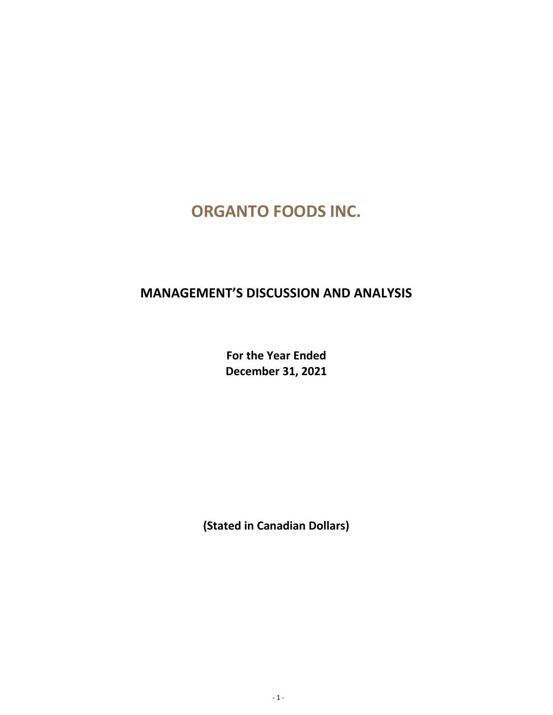# **ORGANTO FOODS INC.**

## **MANAGEMENT'S DISCUSSION AND ANALYSIS**

**For the Year Ended December 31, 2021**

**(Stated in Canadian Dollars)**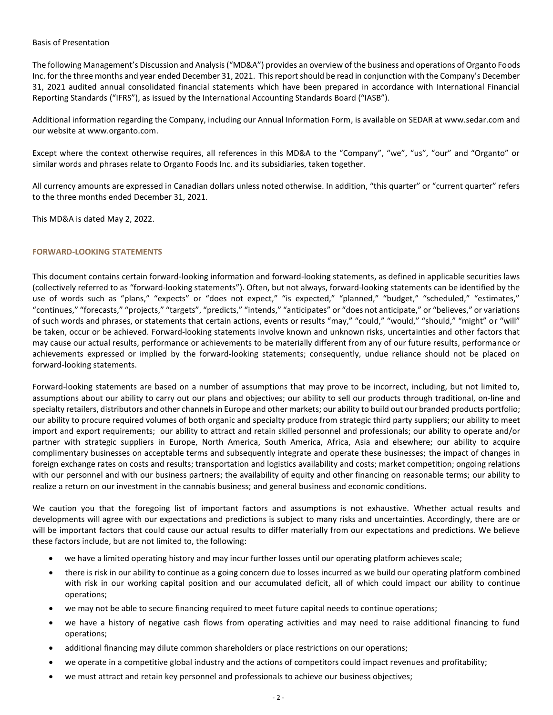#### Basis of Presentation

The following Management's Discussion and Analysis ("MD&A") provides an overview of the business and operations of Organto Foods Inc. for the three months and year ended December 31, 2021. This report should be read in conjunction with the Company's December 31, 2021 audited annual consolidated financial statements which have been prepared in accordance with International Financial Reporting Standards ("IFRS"), as issued by the International Accounting Standards Board ("IASB").

Additional information regarding the Company, including our Annual Information Form, is available on SEDAR at [www.sedar.com](http://www.sedar.com/) and our website at www.organto.com.

Except where the context otherwise requires, all references in this MD&A to the "Company", "we", "us", "our" and "Organto" or similar words and phrases relate to Organto Foods Inc. and its subsidiaries, taken together.

All currency amounts are expressed in Canadian dollars unless noted otherwise. In addition, "this quarter" or "current quarter" refers to the three months ended December 31, 2021.

This MD&A is dated May 2, 2022.

## **FORWARD-LOOKING STATEMENTS**

This document contains certain forward-looking information and forward-looking statements, as defined in applicable securities laws (collectively referred to as "forward-looking statements"). Often, but not always, forward-looking statements can be identified by the use of words such as "plans," "expects" or "does not expect," "is expected," "planned," "budget," "scheduled," "estimates," "continues," "forecasts," "projects," "targets", "predicts," "intends," "anticipates" or "does not anticipate," or "believes," or variations of such words and phrases, or statements that certain actions, events or results "may," "could," "would," "should," "might" or "will" be taken, occur or be achieved. Forward-looking statements involve known and unknown risks, uncertainties and other factors that may cause our actual results, performance or achievements to be materially different from any of our future results, performance or achievements expressed or implied by the forward-looking statements; consequently, undue reliance should not be placed on forward-looking statements.

Forward-looking statements are based on a number of assumptions that may prove to be incorrect, including, but not limited to, assumptions about our ability to carry out our plans and objectives; our ability to sell our products through traditional, on-line and specialty retailers, distributors and other channels in Europe and other markets; our ability to build out our branded products portfolio; our ability to procure required volumes of both organic and specialty produce from strategic third party suppliers; our ability to meet import and export requirements; our ability to attract and retain skilled personnel and professionals; our ability to operate and/or partner with strategic suppliers in Europe, North America, South America, Africa, Asia and elsewhere; our ability to acquire complimentary businesses on acceptable terms and subsequently integrate and operate these businesses; the impact of changes in foreign exchange rates on costs and results; transportation and logistics availability and costs; market competition; ongoing relations with our personnel and with our business partners; the availability of equity and other financing on reasonable terms; our ability to realize a return on our investment in the cannabis business; and general business and economic conditions.

We caution you that the foregoing list of important factors and assumptions is not exhaustive. Whether actual results and developments will agree with our expectations and predictions is subject to many risks and uncertainties. Accordingly, there are or will be important factors that could cause our actual results to differ materially from our expectations and predictions. We believe these factors include, but are not limited to, the following:

- we have a limited operating history and may incur further losses until our operating platform achieves scale;
- there is risk in our ability to continue as a going concern due to losses incurred as we build our operating platform combined with risk in our working capital position and our accumulated deficit, all of which could impact our ability to continue operations;
- we may not be able to secure financing required to meet future capital needs to continue operations;
- we have a history of negative cash flows from operating activities and may need to raise additional financing to fund operations;
- additional financing may dilute common shareholders or place restrictions on our operations;
- we operate in a competitive global industry and the actions of competitors could impact revenues and profitability;
- we must attract and retain key personnel and professionals to achieve our business objectives;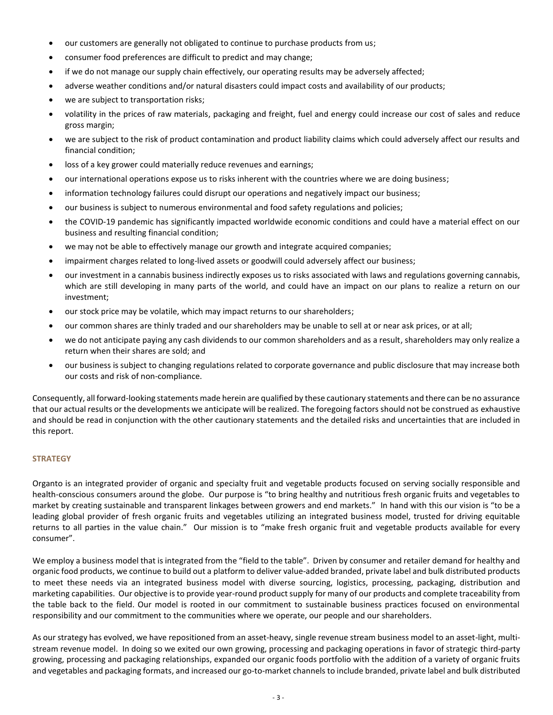- our customers are generally not obligated to continue to purchase products from us;
- consumer food preferences are difficult to predict and may change;
- if we do not manage our supply chain effectively, our operating results may be adversely affected;
- adverse weather conditions and/or natural disasters could impact costs and availability of our products;
- we are subject to transportation risks;
- volatility in the prices of raw materials, packaging and freight, fuel and energy could increase our cost of sales and reduce gross margin;
- we are subject to the risk of product contamination and product liability claims which could adversely affect our results and financial condition;
- loss of a key grower could materially reduce revenues and earnings;
- our international operations expose us to risks inherent with the countries where we are doing business;
- information technology failures could disrupt our operations and negatively impact our business;
- our business is subject to numerous environmental and food safety regulations and policies;
- the COVID-19 pandemic has significantly impacted worldwide economic conditions and could have a material effect on our business and resulting financial condition;
- we may not be able to effectively manage our growth and integrate acquired companies;
- impairment charges related to long-lived assets or goodwill could adversely affect our business;
- our investment in a cannabis business indirectly exposes us to risks associated with laws and regulations governing cannabis, which are still developing in many parts of the world, and could have an impact on our plans to realize a return on our investment;
- our stock price may be volatile, which may impact returns to our shareholders;
- our common shares are thinly traded and our shareholders may be unable to sell at or near ask prices, or at all;
- we do not anticipate paying any cash dividends to our common shareholders and as a result, shareholders may only realize a return when their shares are sold; and
- our business is subject to changing regulations related to corporate governance and public disclosure that may increase both our costs and risk of non-compliance.

Consequently, all forward-looking statements made herein are qualified by these cautionary statements and there can be no assurance that our actual results or the developments we anticipate will be realized. The foregoing factors should not be construed as exhaustive and should be read in conjunction with the other cautionary statements and the detailed risks and uncertainties that are included in this report.

## **STRATEGY**

Organto is an integrated provider of organic and specialty fruit and vegetable products focused on serving socially responsible and health-conscious consumers around the globe. Our purpose is "to bring healthy and nutritious fresh organic fruits and vegetables to market by creating sustainable and transparent linkages between growers and end markets." In hand with this our vision is "to be a leading global provider of fresh organic fruits and vegetables utilizing an integrated business model, trusted for driving equitable returns to all parties in the value chain." Our mission is to "make fresh organic fruit and vegetable products available for every consumer".

We employ a business model that is integrated from the "field to the table". Driven by consumer and retailer demand for healthy and organic food products, we continue to build out a platform to deliver value-added branded, private label and bulk distributed products to meet these needs via an integrated business model with diverse sourcing, logistics, processing, packaging, distribution and marketing capabilities. Our objective is to provide year-round product supply for many of our products and complete traceability from the table back to the field. Our model is rooted in our commitment to sustainable business practices focused on environmental responsibility and our commitment to the communities where we operate, our people and our shareholders.

As our strategy has evolved, we have repositioned from an asset-heavy, single revenue stream business model to an asset-light, multistream revenue model. In doing so we exited our own growing, processing and packaging operations in favor of strategic third-party growing, processing and packaging relationships, expanded our organic foods portfolio with the addition of a variety of organic fruits and vegetables and packaging formats, and increased our go-to-market channels to include branded, private label and bulk distributed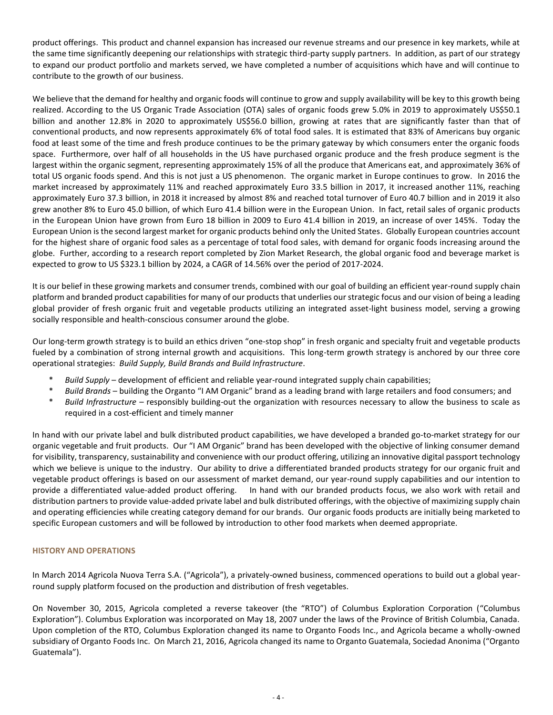product offerings. This product and channel expansion has increased our revenue streams and our presence in key markets, while at the same time significantly deepening our relationships with strategic third-party supply partners. In addition, as part of our strategy to expand our product portfolio and markets served, we have completed a number of acquisitions which have and will continue to contribute to the growth of our business.

We believe that the demand for healthy and organic foods will continue to grow and supply availability will be key to this growth being realized. According to the US Organic Trade Association (OTA) sales of organic foods grew 5.0% in 2019 to approximately US\$50.1 billion and another 12.8% in 2020 to approximately US\$56.0 billion, growing at rates that are significantly faster than that of conventional products, and now represents approximately 6% of total food sales. It is estimated that 83% of Americans buy organic food at least some of the time and fresh produce continues to be the primary gateway by which consumers enter the organic foods space. Furthermore, over half of all households in the US have purchased organic produce and the fresh produce segment is the largest within the organic segment, representing approximately 15% of all the produce that Americans eat, and approximately 36% of total US organic foods spend. And this is not just a US phenomenon. The organic market in Europe continues to grow. In 2016 the market increased by approximately 11% and reached approximately Euro 33.5 billion in 2017, it increased another 11%, reaching approximately Euro 37.3 billion, in 2018 it increased by almost 8% and reached total turnover of Euro 40.7 billion and in 2019 it also grew another 8% to Euro 45.0 billion, of which Euro 41.4 billion were in the European Union. In fact, retail sales of organic products in the European Union have grown from Euro 18 billion in 2009 to Euro 41.4 billion in 2019, an increase of over 145%. Today the European Union is the second largest market for organic products behind only the United States. Globally European countries account for the highest share of organic food sales as a percentage of total food sales, with demand for organic foods increasing around the globe. Further, according to a research report completed by Zion Market Research, the global organic food and beverage market is expected to grow to US \$323.1 billion by 2024, a CAGR of 14.56% over the period of 2017-2024.

It is our belief in these growing markets and consumer trends, combined with our goal of building an efficient year-round supply chain platform and branded product capabilities for many of our products that underlies our strategic focus and our vision of being a leading global provider of fresh organic fruit and vegetable products utilizing an integrated asset-light business model, serving a growing socially responsible and health-conscious consumer around the globe.

Our long-term growth strategy is to build an ethics driven "one-stop shop" in fresh organic and specialty fruit and vegetable products fueled by a combination of strong internal growth and acquisitions. This long-term growth strategy is anchored by our three core operational strategies: *Build Supply, Build Brands and Build Infrastructure*.

- \* *Build Supply* development of efficient and reliable year-round integrated supply chain capabilities;
- \* *Build Brands* building the Organto "I AM Organic" brand as a leading brand with large retailers and food consumers; and
- \* *Build Infrastructure* responsibly building-out the organization with resources necessary to allow the business to scale as required in a cost-efficient and timely manner

In hand with our private label and bulk distributed product capabilities, we have developed a branded go-to-market strategy for our organic vegetable and fruit products. Our "I AM Organic" brand has been developed with the objective of linking consumer demand for visibility, transparency, sustainability and convenience with our product offering, utilizing an innovative digital passport technology which we believe is unique to the industry. Our ability to drive a differentiated branded products strategy for our organic fruit and vegetable product offerings is based on our assessment of market demand, our year-round supply capabilities and our intention to provide a differentiated value-added product offering. In hand with our branded products focus, we also work with retail and distribution partners to provide value-added private label and bulk distributed offerings, with the objective of maximizing supply chain and operating efficiencies while creating category demand for our brands. Our organic foods products are initially being marketed to specific European customers and will be followed by introduction to other food markets when deemed appropriate.

## **HISTORY AND OPERATIONS**

In March 2014 Agricola Nuova Terra S.A. ("Agricola"), a privately-owned business, commenced operations to build out a global yearround supply platform focused on the production and distribution of fresh vegetables.

On November 30, 2015, Agricola completed a reverse takeover (the "RTO") of Columbus Exploration Corporation ("Columbus Exploration"). Columbus Exploration was incorporated on May 18, 2007 under the laws of the Province of British Columbia, Canada. Upon completion of the RTO, Columbus Exploration changed its name to Organto Foods Inc., and Agricola became a wholly-owned subsidiary of Organto Foods Inc. On March 21, 2016, Agricola changed its name to Organto Guatemala, Sociedad Anonima ("Organto Guatemala").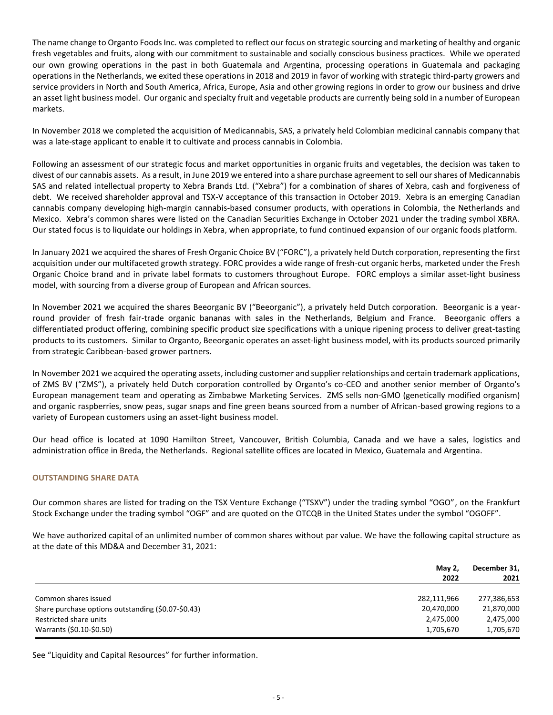The name change to Organto Foods Inc. was completed to reflect our focus on strategic sourcing and marketing of healthy and organic fresh vegetables and fruits, along with our commitment to sustainable and socially conscious business practices. While we operated our own growing operations in the past in both Guatemala and Argentina, processing operations in Guatemala and packaging operations in the Netherlands, we exited these operations in 2018 and 2019 in favor of working with strategic third-party growers and service providers in North and South America, Africa, Europe, Asia and other growing regions in order to grow our business and drive an asset light business model. Our organic and specialty fruit and vegetable products are currently being sold in a number of European markets.

In November 2018 we completed the acquisition of Medicannabis, SAS, a privately held Colombian medicinal cannabis company that was a late-stage applicant to enable it to cultivate and process cannabis in Colombia.

Following an assessment of our strategic focus and market opportunities in organic fruits and vegetables, the decision was taken to divest of our cannabis assets. As a result, in June 2019 we entered into a share purchase agreement to sell our shares of Medicannabis SAS and related intellectual property to Xebra Brands Ltd. ("Xebra") for a combination of shares of Xebra, cash and forgiveness of debt. We received shareholder approval and TSX-V acceptance of this transaction in October 2019. Xebra is an emerging Canadian cannabis company developing high-margin cannabis-based consumer products, with operations in Colombia, the Netherlands and Mexico. Xebra's common shares were listed on the Canadian Securities Exchange in October 2021 under the trading symbol XBRA. Our stated focus is to liquidate our holdings in Xebra, when appropriate, to fund continued expansion of our organic foods platform.

In January 2021 we acquired the shares of Fresh Organic Choice BV ("FORC"), a privately held Dutch corporation, representing the first acquisition under our multifaceted growth strategy. FORC provides a wide range of fresh-cut organic herbs, marketed under the Fresh Organic Choice brand and in private label formats to customers throughout Europe. FORC employs a similar asset-light business model, with sourcing from a diverse group of European and African sources.

In November 2021 we acquired the shares Beeorganic BV ("Beeorganic"), a privately held Dutch corporation. Beeorganic is a yearround provider of fresh fair-trade organic bananas with sales in the Netherlands, Belgium and France. Beeorganic offers a differentiated product offering, combining specific product size specifications with a unique ripening process to deliver great-tasting products to its customers. Similar to Organto, Beeorganic operates an asset-light business model, with its products sourced primarily from strategic Caribbean-based grower partners.

In November 2021 we acquired the operating assets, including customer and supplier relationships and certain trademark applications, of ZMS BV ("ZMS"), a privately held Dutch corporation controlled by Organto's co-CEO and another senior member of Organto's European management team and operating as Zimbabwe Marketing Services. ZMS sells non-GMO (genetically modified organism) and organic raspberries, snow peas, sugar snaps and fine green beans sourced from a number of African-based growing regions to a variety of European customers using an asset-light business model.

Our head office is located at 1090 Hamilton Street, Vancouver, British Columbia, Canada and we have a sales, logistics and administration office in Breda, the Netherlands. Regional satellite offices are located in Mexico, Guatemala and Argentina.

## **OUTSTANDING SHARE DATA**

Our common shares are listed for trading on the TSX Venture Exchange ("TSXV") under the trading symbol "OGO", on the Frankfurt Stock Exchange under the trading symbol "OGF" and are quoted on the OTCQB in the United States under the symbol "OGOFF".

We have authorized capital of an unlimited number of common shares without par value. We have the following capital structure as at the date of this MD&A and December 31, 2021:

|                                                    | May 2,<br>2022 | December 31,<br>2021 |
|----------------------------------------------------|----------------|----------------------|
| Common shares issued                               | 282,111,966    | 277,386,653          |
| Share purchase options outstanding (\$0.07-\$0.43) | 20,470,000     | 21,870,000           |
| Restricted share units                             | 2,475,000      | 2,475,000            |
| Warrants (\$0.10-\$0.50)                           | 1,705,670      | 1,705,670            |

See "[Liquidity and Capital Resources](#page-14-0)" for further information.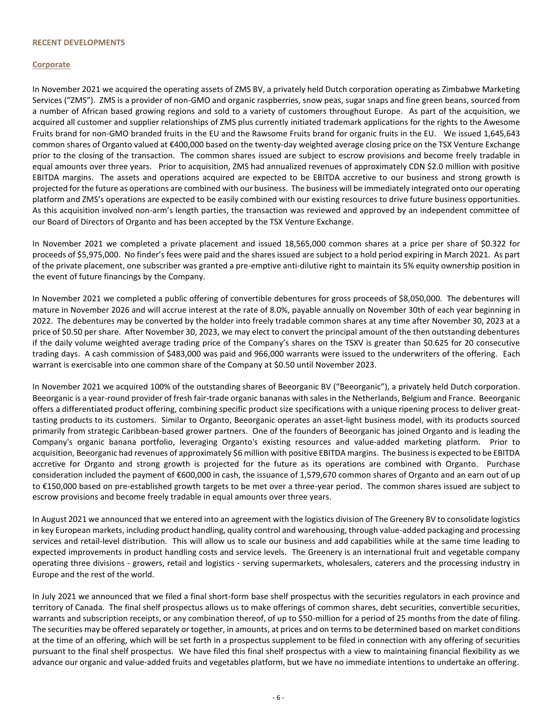#### **RECENT DEVELOPMENTS**

## **Corporate**

In November 2021 we acquired the operating assets of ZMS BV, a privately held Dutch corporation operating as Zimbabwe Marketing Services ("ZMS"). ZMS is a provider of non-GMO and organic raspberries, snow peas, sugar snaps and fine green beans, sourced from a number of African based growing regions and sold to a variety of customers throughout Europe. As part of the acquisition, we acquired all customer and supplier relationships of ZMS plus currently initiated trademark applications for the rights to the Awesome Fruits brand for non-GMO branded fruits in the EU and the Rawsome Fruits brand for organic fruits in the EU. We issued 1,645,643 common shares of Organto valued at €400,000 based on the twenty-day weighted average closing price on the TSX Venture Exchange prior to the closing of the transaction. The common shares issued are subject to escrow provisions and become freely tradable in equal amounts over three years. Prior to acquisition, ZMS had annualized revenues of approximately CDN \$2.0 million with positive EBITDA margins. The assets and operations acquired are expected to be EBITDA accretive to our business and strong growth is projected for the future as operations are combined with our business. The business will be immediately integrated onto our operating platform and ZMS's operations are expected to be easily combined with our existing resources to drive future business opportunities. As this acquisition involved non-arm's length parties, the transaction was reviewed and approved by an independent committee of our Board of Directors of Organto and has been accepted by the TSX Venture Exchange.

In November 2021 we completed a private placement and issued 18,565,000 common shares at a price per share of \$0.322 for proceeds of \$5,975,000. No finder's fees were paid and the shares issued are subject to a hold period expiring in March 2021. As part of the private placement, one subscriber was granted a pre-emptive anti-dilutive right to maintain its 5% equity ownership position in the event of future financings by the Company.

In November 2021 we completed a public offering of convertible debentures for gross proceeds of \$8,050,000. The debentures will mature in November 2026 and will accrue interest at the rate of 8.0%, payable annually on November 30th of each year beginning in 2022. The debentures may be converted by the holder into freely tradable common shares at any time after November 30, 2023 at a price of \$0.50 per share. After November 30, 2023, we may elect to convert the principal amount of the then outstanding debentures if the daily volume weighted average trading price of the Company's shares on the TSXV is greater than \$0.625 for 20 consecutive trading days. A cash commission of \$483,000 was paid and 966,000 warrants were issued to the underwriters of the offering. Each warrant is exercisable into one common share of the Company at \$0.50 until November 2023.

In November 2021 we acquired 100% of the outstanding shares of Beeorganic BV ("Beeorganic"), a privately held Dutch corporation. Beeorganic is a year-round provider of fresh fair-trade organic bananas with sales in the Netherlands, Belgium and France. Beeorganic offers a differentiated product offering, combining specific product size specifications with a unique ripening process to deliver greattasting products to its customers. Similar to Organto, Beeorganic operates an asset-light business model, with its products sourced primarily from strategic Caribbean-based grower partners. One of the founders of Beeorganic has joined Organto and is leading the Company's organic banana portfolio, leveraging Organto's existing resources and value-added marketing platform. Prior to acquisition, Beeorganic had revenues of approximately \$6 million with positive EBITDA margins. The business is expected to be EBITDA accretive for Organto and strong growth is projected for the future as its operations are combined with Organto. Purchase consideration included the payment of €600,000 in cash, the issuance of 1,579,670 common shares of Organto and an earn out of up to €150,000 based on pre-established growth targets to be met over a three-year period. The common shares issued are subject to escrow provisions and become freely tradable in equal amounts over three years.

In August 2021 we announced that we entered into an agreement with the logistics division of The Greenery BV to consolidate logistics in key European markets, including product handling, quality control and warehousing, through value-added packaging and processing services and retail-level distribution. This will allow us to scale our business and add capabilities while at the same time leading to expected improvements in product handling costs and service levels. The Greenery is an international fruit and vegetable company operating three divisions - growers, retail and logistics - serving supermarkets, wholesalers, caterers and the processing industry in Europe and the rest of the world.

In July 2021 we announced that we filed a final short-form base shelf prospectus with the securities regulators in each province and territory of Canada. The final shelf prospectus allows us to make offerings of common shares, debt securities, convertible securities, warrants and subscription receipts, or any combination thereof, of up to \$50-million for a period of 25 months from the date of filing. The securities may be offered separately or together, in amounts, at prices and on terms to be determined based on market conditions at the time of an offering, which will be set forth in a prospectus supplement to be filed in connection with any offering of securities pursuant to the final shelf prospectus. We have filed this final shelf prospectus with a view to maintaining financial flexibility as we advance our organic and value-added fruits and vegetables platform, but we have no immediate intentions to undertake an offering.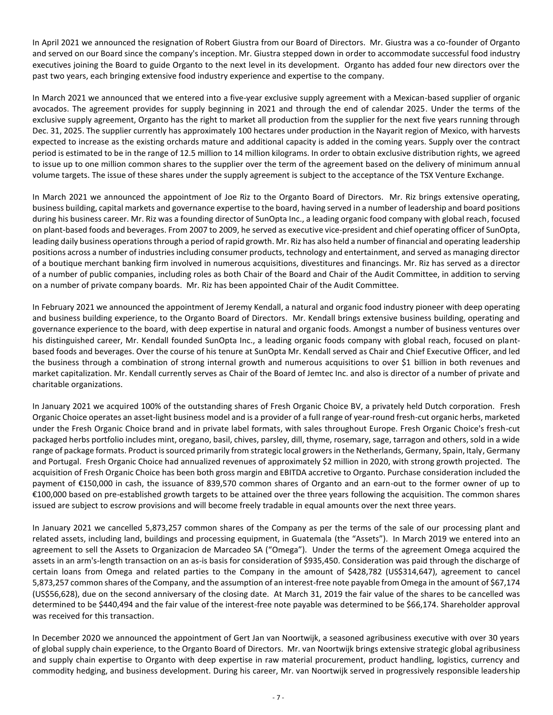In April 2021 we announced the resignation of Robert Giustra from our Board of Directors. Mr. Giustra was a co-founder of Organto and served on our Board since the company's inception. Mr. Giustra stepped down in order to accommodate successful food industry executives joining the Board to guide Organto to the next level in its development. Organto has added four new directors over the past two years, each bringing extensive food industry experience and expertise to the company.

In March 2021 we announced that we entered into a five-year exclusive supply agreement with a Mexican-based supplier of organic avocados. The agreement provides for supply beginning in 2021 and through the end of calendar 2025. Under the terms of the exclusive supply agreement, Organto has the right to market all production from the supplier for the next five years running through Dec. 31, 2025. The supplier currently has approximately 100 hectares under production in the Nayarit region of Mexico, with harvests expected to increase as the existing orchards mature and additional capacity is added in the coming years. Supply over the contract period is estimated to be in the range of 12.5 million to 14 million kilograms. In order to obtain exclusive distribution rights, we agreed to issue up to one million common shares to the supplier over the term of the agreement based on the delivery of minimum annual volume targets. The issue of these shares under the supply agreement is subject to the acceptance of the TSX Venture Exchange.

In March 2021 we announced the appointment of Joe Riz to the Organto Board of Directors. Mr. Riz brings extensive operating, business building, capital markets and governance expertise to the board, having served in a number of leadership and board positions during his business career. Mr. Riz was a founding director of SunOpta Inc., a leading organic food company with global reach, focused on plant-based foods and beverages. From 2007 to 2009, he served as executive vice-president and chief operating officer of SunOpta, leading daily business operations through a period of rapid growth. Mr. Riz has also held a number of financial and operating leadership positions across a number of industries including consumer products, technology and entertainment, and served as managing director of a boutique merchant banking firm involved in numerous acquisitions, divestitures and financings. Mr. Riz has served as a director of a number of public companies, including roles as both Chair of the Board and Chair of the Audit Committee, in addition to serving on a number of private company boards. Mr. Riz has been appointed Chair of the Audit Committee.

In February 2021 we announced the appointment of Jeremy Kendall, a natural and organic food industry pioneer with deep operating and business building experience, to the Organto Board of Directors. Mr. Kendall brings extensive business building, operating and governance experience to the board, with deep expertise in natural and organic foods. Amongst a number of business ventures over his distinguished career, Mr. Kendall founded SunOpta Inc., a leading organic foods company with global reach, focused on plantbased foods and beverages. Over the course of his tenure at SunOpta Mr. Kendall served as Chair and Chief Executive Officer, and led the business through a combination of strong internal growth and numerous acquisitions to over \$1 billion in both revenues and market capitalization. Mr. Kendall currently serves as Chair of the Board of Jemtec Inc. and also is director of a number of private and charitable organizations.

In January 2021 we acquired 100% of the outstanding shares of Fresh Organic Choice BV, a privately held Dutch corporation. Fresh Organic Choice operates an asset-light business model and is a provider of a full range of year-round fresh-cut organic herbs, marketed under the Fresh Organic Choice brand and in private label formats, with sales throughout Europe. Fresh Organic Choice's fresh-cut packaged herbs portfolio includes mint, oregano, basil, chives, parsley, dill, thyme, rosemary, sage, tarragon and others, sold in a wide range of package formats. Product is sourced primarily from strategic local growers in the Netherlands, Germany, Spain, Italy, Germany and Portugal. Fresh Organic Choice had annualized revenues of approximately \$2 million in 2020, with strong growth projected. The acquisition of Fresh Organic Choice has been both gross margin and EBITDA accretive to Organto. Purchase consideration included the payment of €150,000 in cash, the issuance of 839,570 common shares of Organto and an earn-out to the former owner of up to €100,000 based on pre-established growth targets to be attained over the three years following the acquisition. The common shares issued are subject to escrow provisions and will become freely tradable in equal amounts over the next three years.

In January 2021 we cancelled 5,873,257 common shares of the Company as per the terms of the sale of our processing plant and related assets, including land, buildings and processing equipment, in Guatemala (the "Assets"). In March 2019 we entered into an agreement to sell the Assets to Organizacion de Marcadeo SA ("Omega"). Under the terms of the agreement Omega acquired the assets in an arm's-length transaction on an as-is basis for consideration of \$935,450. Consideration was paid through the discharge of certain loans from Omega and related parties to the Company in the amount of \$428,782 (US\$314,647), agreement to cancel 5,873,257 common shares of the Company, and the assumption of an interest-free note payable from Omega in the amount of \$67,174 (US\$56,628), due on the second anniversary of the closing date. At March 31, 2019 the fair value of the shares to be cancelled was determined to be \$440,494 and the fair value of the interest-free note payable was determined to be \$66,174. Shareholder approval was received for this transaction.

In December 2020 we announced the appointment of Gert Jan van Noortwijk, a seasoned agribusiness executive with over 30 years of global supply chain experience, to the Organto Board of Directors. Mr. van Noortwijk brings extensive strategic global agribusiness and supply chain expertise to Organto with deep expertise in raw material procurement, product handling, logistics, currency and commodity hedging, and business development. During his career, Mr. van Noortwijk served in progressively responsible leadership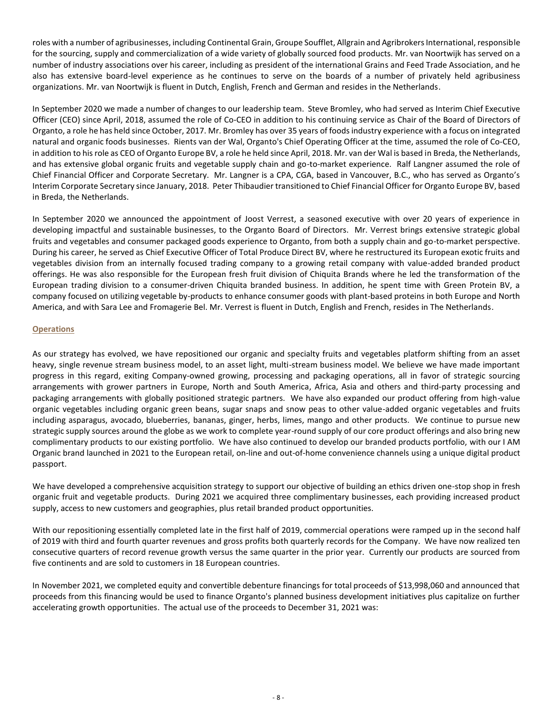roles with a number of agribusinesses, including Continental Grain, Groupe Soufflet, Allgrain and Agribrokers International, responsible for the sourcing, supply and commercialization of a wide variety of globally sourced food products. Mr. van Noortwijk has served on a number of industry associations over his career, including as president of the international Grains and Feed Trade Association, and he also has extensive board-level experience as he continues to serve on the boards of a number of privately held agribusiness organizations. Mr. van Noortwijk is fluent in Dutch, English, French and German and resides in the Netherlands.

In September 2020 we made a number of changes to our leadership team. Steve Bromley, who had served as Interim Chief Executive Officer (CEO) since April, 2018, assumed the role of Co-CEO in addition to his continuing service as Chair of the Board of Directors of Organto, a role he has held since October, 2017. Mr. Bromley has over 35 years of foods industry experience with a focus on integrated natural and organic foods businesses. Rients van der Wal, Organto's Chief Operating Officer at the time, assumed the role of Co-CEO, in addition to his role as CEO of Organto Europe BV, a role he held since April, 2018. Mr. van der Wal is based in Breda, the Netherlands, and has extensive global organic fruits and vegetable supply chain and go-to-market experience. Ralf Langner assumed the role of Chief Financial Officer and Corporate Secretary. Mr. Langner is a CPA, CGA, based in Vancouver, B.C., who has served as Organto's Interim Corporate Secretary since January, 2018. Peter Thibaudier transitioned to Chief Financial Officer for Organto Europe BV, based in Breda, the Netherlands.

In September 2020 we announced the appointment of Joost Verrest, a seasoned executive with over 20 years of experience in developing impactful and sustainable businesses, to the Organto Board of Directors. Mr. Verrest brings extensive strategic global fruits and vegetables and consumer packaged goods experience to Organto, from both a supply chain and go-to-market perspective. During his career, he served as Chief Executive Officer of Total Produce Direct BV, where he restructured its European exotic fruits and vegetables division from an internally focused trading company to a growing retail company with value-added branded product offerings. He was also responsible for the European fresh fruit division of Chiquita Brands where he led the transformation of the European trading division to a consumer-driven Chiquita branded business. In addition, he spent time with Green Protein BV, a company focused on utilizing vegetable by-products to enhance consumer goods with plant-based proteins in both Europe and North America, and with Sara Lee and Fromagerie Bel. Mr. Verrest is fluent in Dutch, English and French, resides in The Netherlands.

## **Operations**

As our strategy has evolved, we have repositioned our organic and specialty fruits and vegetables platform shifting from an asset heavy, single revenue stream business model, to an asset light, multi-stream business model. We believe we have made important progress in this regard, exiting Company-owned growing, processing and packaging operations, all in favor of strategic sourcing arrangements with grower partners in Europe, North and South America, Africa, Asia and others and third-party processing and packaging arrangements with globally positioned strategic partners. We have also expanded our product offering from high-value organic vegetables including organic green beans, sugar snaps and snow peas to other value-added organic vegetables and fruits including asparagus, avocado, blueberries, bananas, ginger, herbs, limes, mango and other products. We continue to pursue new strategic supply sources around the globe as we work to complete year-round supply of our core product offerings and also bring new complimentary products to our existing portfolio. We have also continued to develop our branded products portfolio, with our I AM Organic brand launched in 2021 to the European retail, on-line and out-of-home convenience channels using a unique digital product passport.

We have developed a comprehensive acquisition strategy to support our objective of building an ethics driven one-stop shop in fresh organic fruit and vegetable products. During 2021 we acquired three complimentary businesses, each providing increased product supply, access to new customers and geographies, plus retail branded product opportunities.

With our repositioning essentially completed late in the first half of 2019, commercial operations were ramped up in the second half of 2019 with third and fourth quarter revenues and gross profits both quarterly records for the Company. We have now realized ten consecutive quarters of record revenue growth versus the same quarter in the prior year. Currently our products are sourced from five continents and are sold to customers in 18 European countries.

In November 2021, we completed equity and convertible debenture financings for total proceeds of \$13,998,060 and announced that proceeds from this financing would be used to finance Organto's planned business development initiatives plus capitalize on further accelerating growth opportunities. The actual use of the proceeds to December 31, 2021 was: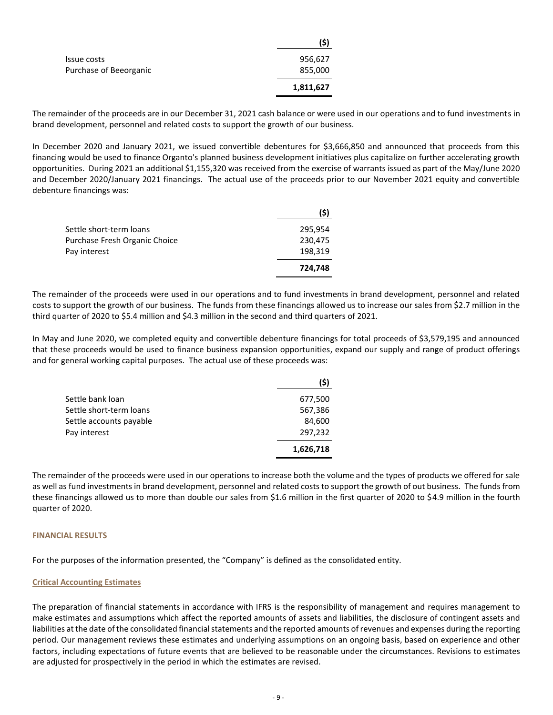|                        | 9)        |
|------------------------|-----------|
| Issue costs            | 956,627   |
| Purchase of Beeorganic | 855,000   |
|                        | 1,811,627 |

The remainder of the proceeds are in our December 31, 2021 cash balance or were used in our operations and to fund investments in brand development, personnel and related costs to support the growth of our business.

**(\$)**

In December 2020 and January 2021, we issued convertible debentures for \$3,666,850 and announced that proceeds from this financing would be used to finance Organto's planned business development initiatives plus capitalize on further accelerating growth opportunities. During 2021 an additional \$1,155,320 was received from the exercise of warrants issued as part of the May/June 2020 and December 2020/January 2021 financings. The actual use of the proceeds prior to our November 2021 equity and convertible debenture financings was:

|                               | (\$)    |
|-------------------------------|---------|
| Settle short-term loans       | 295,954 |
| Purchase Fresh Organic Choice | 230,475 |
| Pay interest                  | 198,319 |
|                               | 724,748 |

The remainder of the proceeds were used in our operations and to fund investments in brand development, personnel and related costs to support the growth of our business. The funds from these financings allowed us to increase our sales from \$2.7 million in the third quarter of 2020 to \$5.4 million and \$4.3 million in the second and third quarters of 2021.

In May and June 2020, we completed equity and convertible debenture financings for total proceeds of \$3,579,195 and announced that these proceeds would be used to finance business expansion opportunities, expand our supply and range of product offerings and for general working capital purposes. The actual use of these proceeds was:

|                         | (\$)      |
|-------------------------|-----------|
| Settle bank loan        | 677,500   |
| Settle short-term loans | 567,386   |
| Settle accounts payable | 84,600    |
| Pay interest            | 297,232   |
|                         | 1,626,718 |

The remainder of the proceeds were used in our operations to increase both the volume and the types of products we offered for sale as well as fund investments in brand development, personnel and related costs to support the growth of out business. The funds from these financings allowed us to more than double our sales from \$1.6 million in the first quarter of 2020 to \$4.9 million in the fourth quarter of 2020.

## **FINANCIAL RESULTS**

For the purposes of the information presented, the "Company" is defined as the consolidated entity.

#### **Critical Accounting Estimates**

The preparation of financial statements in accordance with IFRS is the responsibility of management and requires management to make estimates and assumptions which affect the reported amounts of assets and liabilities, the disclosure of contingent assets and liabilities at the date of the consolidated financial statements and the reported amounts of revenues and expenses during the reporting period. Our management reviews these estimates and underlying assumptions on an ongoing basis, based on experience and other factors, including expectations of future events that are believed to be reasonable under the circumstances. Revisions to estimates are adjusted for prospectively in the period in which the estimates are revised.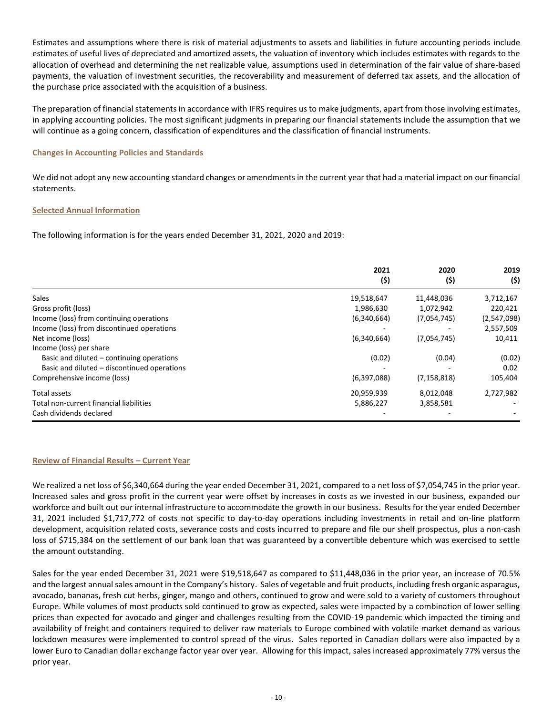Estimates and assumptions where there is risk of material adjustments to assets and liabilities in future accounting periods include estimates of useful lives of depreciated and amortized assets, the valuation of inventory which includes estimates with regards to the allocation of overhead and determining the net realizable value, assumptions used in determination of the fair value of share-based payments, the valuation of investment securities, the recoverability and measurement of deferred tax assets, and the allocation of the purchase price associated with the acquisition of a business.

The preparation of financial statements in accordance with IFRS requires us to make judgments, apart from those involving estimates, in applying accounting policies. The most significant judgments in preparing our financial statements include the assumption that we will continue as a going concern, classification of expenditures and the classification of financial instruments.

## **Changes in Accounting Policies and Standards**

We did not adopt any new accounting standard changes or amendments in the current year that had a material impact on our financial statements.

## **Selected Annual Information**

The following information is for the years ended December 31, 2021, 2020 and 2019:

|                                             | 2021<br>(\$) | 2020<br>(5)   | 2019<br>(5) |
|---------------------------------------------|--------------|---------------|-------------|
| <b>Sales</b>                                | 19,518,647   | 11,448,036    | 3,712,167   |
| Gross profit (loss)                         | 1,986,630    | 1,072,942     | 220,421     |
| Income (loss) from continuing operations    | (6,340,664)  | (7,054,745)   | (2,547,098) |
| Income (loss) from discontinued operations  |              |               | 2,557,509   |
| Net income (loss)                           | (6,340,664)  | (7,054,745)   | 10,411      |
| Income (loss) per share                     |              |               |             |
| Basic and diluted – continuing operations   | (0.02)       | (0.04)        | (0.02)      |
| Basic and diluted – discontinued operations |              |               | 0.02        |
| Comprehensive income (loss)                 | (6,397,088)  | (7, 158, 818) | 105,404     |
| Total assets                                | 20,959,939   | 8,012,048     | 2,727,982   |
| Total non-current financial liabilities     | 5,886,227    | 3,858,581     |             |
| Cash dividends declared                     |              |               |             |

## **Review of Financial Results – Current Year**

We realized a net loss of \$6,340,664 during the year ended December 31, 2021, compared to a net loss of \$7,054,745 in the prior year. Increased sales and gross profit in the current year were offset by increases in costs as we invested in our business, expanded our workforce and built out our internal infrastructure to accommodate the growth in our business. Results for the year ended December 31, 2021 included \$1,717,772 of costs not specific to day-to-day operations including investments in retail and on-line platform development, acquisition related costs, severance costs and costs incurred to prepare and file our shelf prospectus, plus a non-cash loss of \$715,384 on the settlement of our bank loan that was guaranteed by a convertible debenture which was exercised to settle the amount outstanding.

Sales for the year ended December 31, 2021 were \$19,518,647 as compared to \$11,448,036 in the prior year, an increase of 70.5% and the largest annual sales amount in the Company's history. Sales of vegetable and fruit products, including fresh organic asparagus, avocado, bananas, fresh cut herbs, ginger, mango and others, continued to grow and were sold to a variety of customers throughout Europe. While volumes of most products sold continued to grow as expected, sales were impacted by a combination of lower selling prices than expected for avocado and ginger and challenges resulting from the COVID-19 pandemic which impacted the timing and availability of freight and containers required to deliver raw materials to Europe combined with volatile market demand as various lockdown measures were implemented to control spread of the virus. Sales reported in Canadian dollars were also impacted by a lower Euro to Canadian dollar exchange factor year over year. Allowing for this impact, sales increased approximately 77% versus the prior year.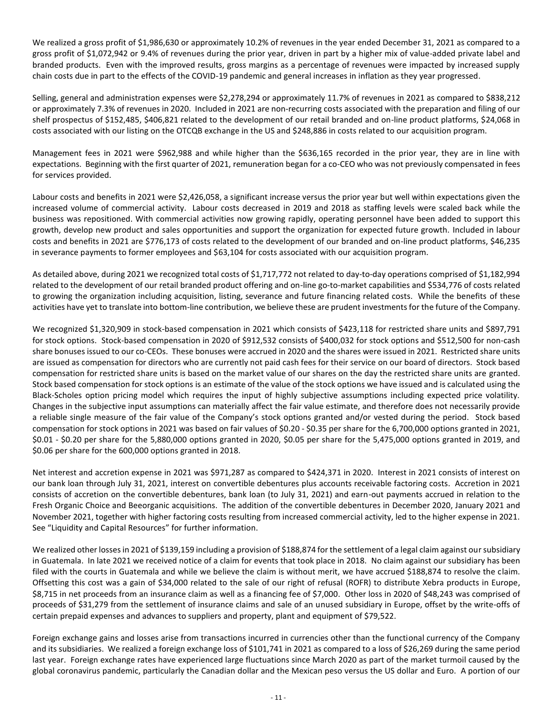We realized a gross profit of \$1,986,630 or approximately 10.2% of revenues in the year ended December 31, 2021 as compared to a gross profit of \$1,072,942 or 9.4% of revenues during the prior year, driven in part by a higher mix of value-added private label and branded products. Even with the improved results, gross margins as a percentage of revenues were impacted by increased supply chain costs due in part to the effects of the COVID-19 pandemic and general increases in inflation as they year progressed.

Selling, general and administration expenses were \$2,278,294 or approximately 11.7% of revenues in 2021 as compared to \$838,212 or approximately 7.3% of revenues in 2020. Included in 2021 are non-recurring costs associated with the preparation and filing of our shelf prospectus of \$152,485, \$406,821 related to the development of our retail branded and on-line product platforms, \$24,068 in costs associated with our listing on the OTCQB exchange in the US and \$248,886 in costs related to our acquisition program.

Management fees in 2021 were \$962,988 and while higher than the \$636,165 recorded in the prior year, they are in line with expectations. Beginning with the first quarter of 2021, remuneration began for a co-CEO who was not previously compensated in fees for services provided.

Labour costs and benefits in 2021 were \$2,426,058, a significant increase versus the prior year but well within expectations given the increased volume of commercial activity. Labour costs decreased in 2019 and 2018 as staffing levels were scaled back while the business was repositioned. With commercial activities now growing rapidly, operating personnel have been added to support this growth, develop new product and sales opportunities and support the organization for expected future growth. Included in labour costs and benefits in 2021 are \$776,173 of costs related to the development of our branded and on-line product platforms, \$46,235 in severance payments to former employees and \$63,104 for costs associated with our acquisition program.

As detailed above, during 2021 we recognized total costs of \$1,717,772 not related to day-to-day operations comprised of \$1,182,994 related to the development of our retail branded product offering and on-line go-to-market capabilities and \$534,776 of costs related to growing the organization including acquisition, listing, severance and future financing related costs. While the benefits of these activities have yet to translate into bottom-line contribution, we believe these are prudent investments for the future of the Company.

We recognized \$1,320,909 in stock-based compensation in 2021 which consists of \$423,118 for restricted share units and \$897,791 for stock options. Stock-based compensation in 2020 of \$912,532 consists of \$400,032 for stock options and \$512,500 for non-cash share bonuses issued to our co-CEOs. These bonuses were accrued in 2020 and the shares were issued in 2021. Restricted share units are issued as compensation for directors who are currently not paid cash fees for their service on our board of directors. Stock based compensation for restricted share units is based on the market value of our shares on the day the restricted share units are granted. Stock based compensation for stock options is an estimate of the value of the stock options we have issued and is calculated using the Black-Scholes option pricing model which requires the input of highly subjective assumptions including expected price volatility. Changes in the subjective input assumptions can materially affect the fair value estimate, and therefore does not necessarily provide a reliable single measure of the fair value of the Company's stock options granted and/or vested during the period. Stock based compensation for stock options in 2021 was based on fair values of \$0.20 - \$0.35 per share for the 6,700,000 options granted in 2021, \$0.01 - \$0.20 per share for the 5,880,000 options granted in 2020, \$0.05 per share for the 5,475,000 options granted in 2019, and \$0.06 per share for the 600,000 options granted in 2018.

Net interest and accretion expense in 2021 was \$971,287 as compared to \$424,371 in 2020. Interest in 2021 consists of interest on our bank loan through July 31, 2021, interest on convertible debentures plus accounts receivable factoring costs. Accretion in 2021 consists of accretion on the convertible debentures, bank loan (to July 31, 2021) and earn-out payments accrued in relation to the Fresh Organic Choice and Beeorganic acquisitions. The addition of the convertible debentures in December 2020, January 2021 and November 2021, together with higher factoring costs resulting from increased commercial activity, led to the higher expense in 2021. See "[Liquidity and Capital Resources](#page-14-0)" for further information.

We realized other losses in 2021 of \$139,159 including a provision of \$188,874 for the settlement of a legal claim against our subsidiary in Guatemala. In late 2021 we received notice of a claim for events that took place in 2018. No claim against our subsidiary has been filed with the courts in Guatemala and while we believe the claim is without merit, we have accrued \$188,874 to resolve the claim. Offsetting this cost was a gain of \$34,000 related to the sale of our right of refusal (ROFR) to distribute Xebra products in Europe, \$8,715 in net proceeds from an insurance claim as well as a financing fee of \$7,000. Other loss in 2020 of \$48,243 was comprised of proceeds of \$31,279 from the settlement of insurance claims and sale of an unused subsidiary in Europe, offset by the write-offs of certain prepaid expenses and advances to suppliers and property, plant and equipment of \$79,522.

Foreign exchange gains and losses arise from transactions incurred in currencies other than the functional currency of the Company and its subsidiaries. We realized a foreign exchange loss of \$101,741 in 2021 as compared to a loss of \$26,269 during the same period last year. Foreign exchange rates have experienced large fluctuations since March 2020 as part of the market turmoil caused by the global coronavirus pandemic, particularly the Canadian dollar and the Mexican peso versus the US dollar and Euro. A portion of our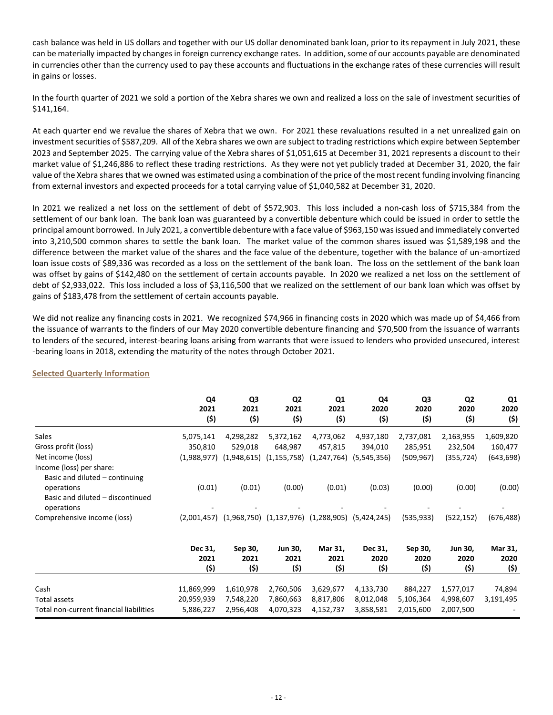cash balance was held in US dollars and together with our US dollar denominated bank loan, prior to its repayment in July 2021, these can be materially impacted by changes in foreign currency exchange rates. In addition, some of our accounts payable are denominated in currencies other than the currency used to pay these accounts and fluctuations in the exchange rates of these currencies will result in gains or losses.

In the fourth quarter of 2021 we sold a portion of the Xebra shares we own and realized a loss on the sale of investment securities of \$141,164.

At each quarter end we revalue the shares of Xebra that we own. For 2021 these revaluations resulted in a net unrealized gain on investment securities of \$587,209. All of the Xebra shares we own are subject to trading restrictions which expire between September 2023 and September 2025. The carrying value of the Xebra shares of \$1,051,615 at December 31, 2021 represents a discount to their market value of \$1,246,886 to reflect these trading restrictions. As they were not yet publicly traded at December 31, 2020, the fair value of the Xebra shares that we owned was estimated using a combination of the price of the most recent funding involving financing from external investors and expected proceeds for a total carrying value of \$1,040,582 at December 31, 2020.

In 2021 we realized a net loss on the settlement of debt of \$572,903. This loss included a non-cash loss of \$715,384 from the settlement of our bank loan. The bank loan was guaranteed by a convertible debenture which could be issued in order to settle the principal amount borrowed. In July 2021, a convertible debenture with a face value of \$963,150 was issued and immediately converted into 3,210,500 common shares to settle the bank loan. The market value of the common shares issued was \$1,589,198 and the difference between the market value of the shares and the face value of the debenture, together with the balance of un-amortized loan issue costs of \$89,336 was recorded as a loss on the settlement of the bank loan. The loss on the settlement of the bank loan was offset by gains of \$142,480 on the settlement of certain accounts payable. In 2020 we realized a net loss on the settlement of debt of \$2,933,022. This loss included a loss of \$3,116,500 that we realized on the settlement of our bank loan which was offset by gains of \$183,478 from the settlement of certain accounts payable.

We did not realize any financing costs in 2021. We recognized \$74,966 in financing costs in 2020 which was made up of \$4,466 from the issuance of warrants to the finders of our May 2020 convertible debenture financing and \$70,500 from the issuance of warrants to lenders of the secured, interest-bearing loans arising from warrants that were issued to lenders who provided unsecured, interest -bearing loans in 2018, extending the maturity of the notes through October 2021.

|                                                                                                                            | Q4<br>2021<br>(\$)     | Q <sub>3</sub><br>2021<br>(\$) | Q <sub>2</sub><br>2021<br>(5)  | Q <sub>1</sub><br>2021<br>(\$) | Q4<br>2020<br>(5)       | Q3<br>2020<br>(5)       | Q <sub>2</sub><br>2020<br>(\$) | Q1<br>2020<br>(\$)      |
|----------------------------------------------------------------------------------------------------------------------------|------------------------|--------------------------------|--------------------------------|--------------------------------|-------------------------|-------------------------|--------------------------------|-------------------------|
| Sales                                                                                                                      | 5,075,141              | 4,298,282                      | 5,372,162                      | 4,773,062                      | 4,937,180               | 2,737,081               | 2,163,955                      | 1,609,820               |
| Gross profit (loss)                                                                                                        | 350,810                | 529,018                        | 648,987                        | 457,815                        | 394,010                 | 285,951                 | 232,504                        | 160,477                 |
| Net income (loss)                                                                                                          | (1,988,977)            | (1,948,615)                    | (1, 155, 758)                  | (1, 247, 764)                  | (5,545,356)             | (509, 967)              | (355,724)                      | (643,698)               |
| Income (loss) per share:<br>Basic and diluted - continuing<br>operations<br>Basic and diluted - discontinued<br>operations | (0.01)                 | (0.01)                         | (0.00)                         | (0.01)                         | (0.03)                  | (0.00)                  | (0.00)                         | (0.00)                  |
| Comprehensive income (loss)                                                                                                | (2,001,457)            |                                | $(1,968,750)$ $(1,137,976)$    | (1,288,905)                    | (5,424,245)             | (535, 933)              | (522, 152)                     | (676,488)               |
|                                                                                                                            | Dec 31,<br>2021<br>(5) | Sep 30,<br>2021<br>(\$)        | <b>Jun 30,</b><br>2021<br>(\$) | Mar 31,<br>2021<br>(5)         | Dec 31,<br>2020<br>(\$) | Sep 30,<br>2020<br>(\$) | <b>Jun 30,</b><br>2020<br>(\$) | Mar 31,<br>2020<br>(\$) |
| Cash                                                                                                                       | 11,869,999             | 1,610,978                      | 2,760,506                      | 3,629,677                      | 4,133,730               | 884,227                 | 1,577,017                      | 74,894                  |
| Total assets                                                                                                               | 20,959,939             | 7,548,220                      | 7,860,663                      | 8,817,806                      | 8,012,048               | 5,106,364               | 4,998,607                      | 3,191,495               |
| Total non-current financial liabilities                                                                                    | 5,886,227              | 2,956,408                      | 4,070,323                      | 4,152,737                      | 3,858,581               | 2,015,600               | 2,007,500                      |                         |

## **Selected Quarterly Information**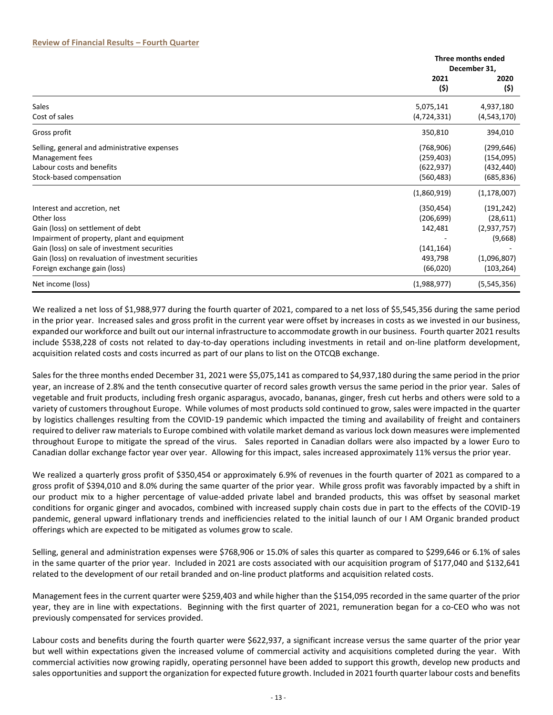|                                                     | Three months ended |               |  |
|-----------------------------------------------------|--------------------|---------------|--|
|                                                     |                    | December 31,  |  |
|                                                     | 2021               | 2020          |  |
|                                                     | (\$)               | (\$)          |  |
| <b>Sales</b>                                        | 5,075,141          | 4,937,180     |  |
| Cost of sales                                       | (4,724,331)        | (4,543,170)   |  |
| Gross profit                                        | 350,810            | 394,010       |  |
| Selling, general and administrative expenses        | (768, 906)         | (299, 646)    |  |
| Management fees                                     | (259, 403)         | (154, 095)    |  |
| Labour costs and benefits                           | (622, 937)         | (432, 440)    |  |
| Stock-based compensation                            | (560, 483)         | (685, 836)    |  |
|                                                     | (1,860,919)        | (1, 178, 007) |  |
| Interest and accretion, net                         | (350, 454)         | (191, 242)    |  |
| Other loss                                          | (206, 699)         | (28, 611)     |  |
| Gain (loss) on settlement of debt                   | 142,481            | (2,937,757)   |  |
| Impairment of property, plant and equipment         |                    | (9,668)       |  |
| Gain (loss) on sale of investment securities        | (141, 164)         |               |  |
| Gain (loss) on revaluation of investment securities | 493,798            | (1,096,807)   |  |
| Foreign exchange gain (loss)                        | (66, 020)          | (103,264)     |  |
| Net income (loss)                                   | (1,988,977)        | (5,545,356)   |  |

We realized a net loss of \$1,988,977 during the fourth quarter of 2021, compared to a net loss of \$5,545,356 during the same period in the prior year. Increased sales and gross profit in the current year were offset by increases in costs as we invested in our business, expanded our workforce and built out our internal infrastructure to accommodate growth in our business. Fourth quarter 2021 results include \$538,228 of costs not related to day-to-day operations including investments in retail and on-line platform development, acquisition related costs and costs incurred as part of our plans to list on the OTCQB exchange.

Sales for the three months ended December 31, 2021 were \$5,075,141 as compared to \$4,937,180 during the same period in the prior year, an increase of 2.8% and the tenth consecutive quarter of record sales growth versus the same period in the prior year. Sales of vegetable and fruit products, including fresh organic asparagus, avocado, bananas, ginger, fresh cut herbs and others were sold to a variety of customers throughout Europe. While volumes of most products sold continued to grow, sales were impacted in the quarter by logistics challenges resulting from the COVID-19 pandemic which impacted the timing and availability of freight and containers required to deliver raw materials to Europe combined with volatile market demand as various lock down measures were implemented throughout Europe to mitigate the spread of the virus. Sales reported in Canadian dollars were also impacted by a lower Euro to Canadian dollar exchange factor year over year. Allowing for this impact, sales increased approximately 11% versus the prior year.

We realized a quarterly gross profit of \$350,454 or approximately 6.9% of revenues in the fourth quarter of 2021 as compared to a gross profit of \$394,010 and 8.0% during the same quarter of the prior year. While gross profit was favorably impacted by a shift in our product mix to a higher percentage of value-added private label and branded products, this was offset by seasonal market conditions for organic ginger and avocados, combined with increased supply chain costs due in part to the effects of the COVID-19 pandemic, general upward inflationary trends and inefficiencies related to the initial launch of our I AM Organic branded product offerings which are expected to be mitigated as volumes grow to scale.

Selling, general and administration expenses were \$768,906 or 15.0% of sales this quarter as compared to \$299,646 or 6.1% of sales in the same quarter of the prior year. Included in 2021 are costs associated with our acquisition program of \$177,040 and \$132,641 related to the development of our retail branded and on-line product platforms and acquisition related costs.

Management fees in the current quarter were \$259,403 and while higher than the \$154,095 recorded in the same quarter of the prior year, they are in line with expectations. Beginning with the first quarter of 2021, remuneration began for a co-CEO who was not previously compensated for services provided.

Labour costs and benefits during the fourth quarter were \$622,937, a significant increase versus the same quarter of the prior year but well within expectations given the increased volume of commercial activity and acquisitions completed during the year. With commercial activities now growing rapidly, operating personnel have been added to support this growth, develop new products and sales opportunities and support the organization for expected future growth. Included in 2021 fourth quarter labour costs and benefits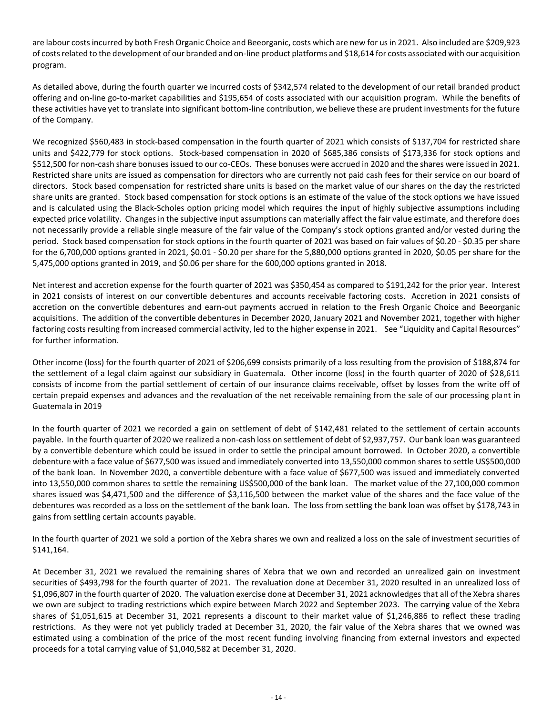are labour costs incurred by both Fresh Organic Choice and Beeorganic, costs which are new for us in 2021. Also included are \$209,923 of costs related to the development of our branded and on-line product platforms and \$18,614 for costs associated with our acquisition program.

As detailed above, during the fourth quarter we incurred costs of \$342,574 related to the development of our retail branded product offering and on-line go-to-market capabilities and \$195,654 of costs associated with our acquisition program. While the benefits of these activities have yet to translate into significant bottom-line contribution, we believe these are prudent investments for the future of the Company.

We recognized \$560,483 in stock-based compensation in the fourth quarter of 2021 which consists of \$137,704 for restricted share units and \$422,779 for stock options. Stock-based compensation in 2020 of \$685,386 consists of \$173,336 for stock options and \$512,500 for non-cash share bonuses issued to our co-CEOs. These bonuses were accrued in 2020 and the shares were issued in 2021. Restricted share units are issued as compensation for directors who are currently not paid cash fees for their service on our board of directors. Stock based compensation for restricted share units is based on the market value of our shares on the day the restricted share units are granted. Stock based compensation for stock options is an estimate of the value of the stock options we have issued and is calculated using the Black-Scholes option pricing model which requires the input of highly subjective assumptions including expected price volatility. Changes in the subjective input assumptions can materially affect the fair value estimate, and therefore does not necessarily provide a reliable single measure of the fair value of the Company's stock options granted and/or vested during the period. Stock based compensation for stock options in the fourth quarter of 2021 was based on fair values of \$0.20 - \$0.35 per share for the 6,700,000 options granted in 2021, \$0.01 - \$0.20 per share for the 5,880,000 options granted in 2020, \$0.05 per share for the 5,475,000 options granted in 2019, and \$0.06 per share for the 600,000 options granted in 2018.

Net interest and accretion expense for the fourth quarter of 2021 was \$350,454 as compared to \$191,242 for the prior year. Interest in 2021 consists of interest on our convertible debentures and accounts receivable factoring costs. Accretion in 2021 consists of accretion on the convertible debentures and earn-out payments accrued in relation to the Fresh Organic Choice and Beeorganic acquisitions. The addition of the convertible debentures in December 2020, January 2021 and November 2021, together with higher factoring costs resulting from increased commercial activity, led to the higher expense in 2021. See "[Liquidity and Capital Resources](#page-14-0)" for further information.

Other income (loss) for the fourth quarter of 2021 of \$206,699 consists primarily of a loss resulting from the provision of \$188,874 for the settlement of a legal claim against our subsidiary in Guatemala. Other income (loss) in the fourth quarter of 2020 of \$28,611 consists of income from the partial settlement of certain of our insurance claims receivable, offset by losses from the write off of certain prepaid expenses and advances and the revaluation of the net receivable remaining from the sale of our processing plant in Guatemala in 2019

In the fourth quarter of 2021 we recorded a gain on settlement of debt of \$142,481 related to the settlement of certain accounts payable. In the fourth quarter of 2020 we realized a non-cash loss on settlement of debt of \$2,937,757. Our bank loan was guaranteed by a convertible debenture which could be issued in order to settle the principal amount borrowed. In October 2020, a convertible debenture with a face value of \$677,500 was issued and immediately converted into 13,550,000 common shares to settle US\$500,000 of the bank loan. In November 2020, a convertible debenture with a face value of \$677,500 was issued and immediately converted into 13,550,000 common shares to settle the remaining US\$500,000 of the bank loan. The market value of the 27,100,000 common shares issued was \$4,471,500 and the difference of \$3,116,500 between the market value of the shares and the face value of the debentures was recorded as a loss on the settlement of the bank loan. The loss from settling the bank loan was offset by \$178,743 in gains from settling certain accounts payable.

In the fourth quarter of 2021 we sold a portion of the Xebra shares we own and realized a loss on the sale of investment securities of \$141,164.

At December 31, 2021 we revalued the remaining shares of Xebra that we own and recorded an unrealized gain on investment securities of \$493,798 for the fourth quarter of 2021. The revaluation done at December 31, 2020 resulted in an unrealized loss of \$1,096,807 in the fourth quarter of 2020. The valuation exercise done at December 31, 2021 acknowledges that all of the Xebra shares we own are subject to trading restrictions which expire between March 2022 and September 2023. The carrying value of the Xebra shares of \$1,051,615 at December 31, 2021 represents a discount to their market value of \$1,246,886 to reflect these trading restrictions. As they were not yet publicly traded at December 31, 2020, the fair value of the Xebra shares that we owned was estimated using a combination of the price of the most recent funding involving financing from external investors and expected proceeds for a total carrying value of \$1,040,582 at December 31, 2020.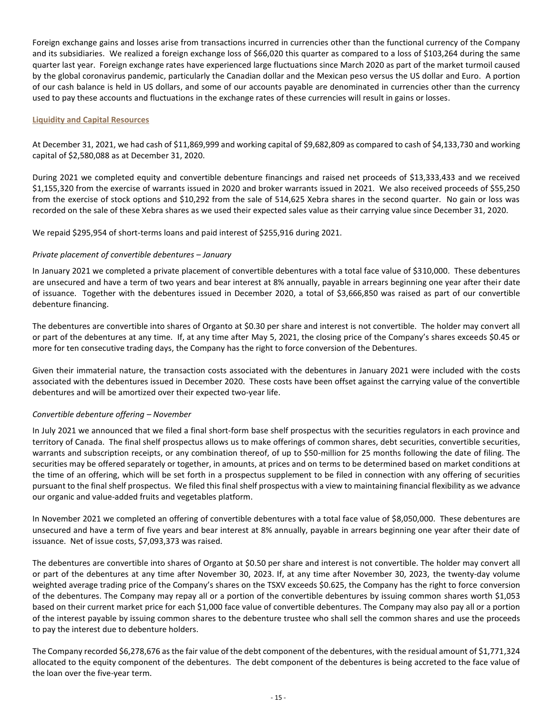Foreign exchange gains and losses arise from transactions incurred in currencies other than the functional currency of the Company and its subsidiaries. We realized a foreign exchange loss of \$66,020 this quarter as compared to a loss of \$103,264 during the same quarter last year. Foreign exchange rates have experienced large fluctuations since March 2020 as part of the market turmoil caused by the global coronavirus pandemic, particularly the Canadian dollar and the Mexican peso versus the US dollar and Euro. A portion of our cash balance is held in US dollars, and some of our accounts payable are denominated in currencies other than the currency used to pay these accounts and fluctuations in the exchange rates of these currencies will result in gains or losses.

## <span id="page-14-0"></span>**Liquidity and Capital Resources**

At December 31, 2021, we had cash of \$11,869,999 and working capital of \$9,682,809 as compared to cash of \$4,133,730 and working capital of \$2,580,088 as at December 31, 2020.

During 2021 we completed equity and convertible debenture financings and raised net proceeds of \$13,333,433 and we received \$1,155,320 from the exercise of warrants issued in 2020 and broker warrants issued in 2021. We also received proceeds of \$55,250 from the exercise of stock options and \$10,292 from the sale of 514,625 Xebra shares in the second quarter. No gain or loss was recorded on the sale of these Xebra shares as we used their expected sales value as their carrying value since December 31, 2020.

We repaid \$295,954 of short-terms loans and paid interest of \$255,916 during 2021.

## *Private placement of convertible debentures – January*

In January 2021 we completed a private placement of convertible debentures with a total face value of \$310,000. These debentures are unsecured and have a term of two years and bear interest at 8% annually, payable in arrears beginning one year after their date of issuance. Together with the debentures issued in December 2020, a total of \$3,666,850 was raised as part of our convertible debenture financing.

The debentures are convertible into shares of Organto at \$0.30 per share and interest is not convertible. The holder may convert all or part of the debentures at any time. If, at any time after May 5, 2021, the closing price of the Company's shares exceeds \$0.45 or more for ten consecutive trading days, the Company has the right to force conversion of the Debentures.

Given their immaterial nature, the transaction costs associated with the debentures in January 2021 were included with the costs associated with the debentures issued in December 2020. These costs have been offset against the carrying value of the convertible debentures and will be amortized over their expected two-year life.

## *Convertible debenture offering – November*

In July 2021 we announced that we filed a final short-form base shelf prospectus with the securities regulators in each province and territory of Canada. The final shelf prospectus allows us to make offerings of common shares, debt securities, convertible securities, warrants and subscription receipts, or any combination thereof, of up to \$50-million for 25 months following the date of filing. The securities may be offered separately or together, in amounts, at prices and on terms to be determined based on market conditions at the time of an offering, which will be set forth in a prospectus supplement to be filed in connection with any offering of securities pursuant to the final shelf prospectus. We filed this final shelf prospectus with a view to maintaining financial flexibility as we advance our organic and value-added fruits and vegetables platform.

In November 2021 we completed an offering of convertible debentures with a total face value of \$8,050,000. These debentures are unsecured and have a term of five years and bear interest at 8% annually, payable in arrears beginning one year after their date of issuance. Net of issue costs, \$7,093,373 was raised.

The debentures are convertible into shares of Organto at \$0.50 per share and interest is not convertible. The holder may convert all or part of the debentures at any time after November 30, 2023. If, at any time after November 30, 2023, the twenty-day volume weighted average trading price of the Company's shares on the TSXV exceeds \$0.625, the Company has the right to force conversion of the debentures. The Company may repay all or a portion of the convertible debentures by issuing common shares worth \$1,053 based on their current market price for each \$1,000 face value of convertible debentures. The Company may also pay all or a portion of the interest payable by issuing common shares to the debenture trustee who shall sell the common shares and use the proceeds to pay the interest due to debenture holders.

The Company recorded \$6,278,676 as the fair value of the debt component of the debentures, with the residual amount of \$1,771,324 allocated to the equity component of the debentures. The debt component of the debentures is being accreted to the face value of the loan over the five-year term.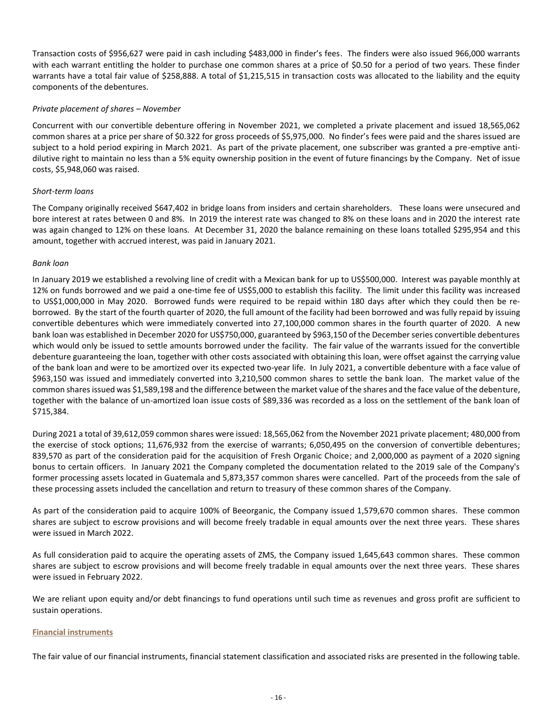Transaction costs of \$956,627 were paid in cash including \$483,000 in finder's fees. The finders were also issued 966,000 warrants with each warrant entitling the holder to purchase one common shares at a price of \$0.50 for a period of two years. These finder warrants have a total fair value of \$258,888. A total of \$1,215,515 in transaction costs was allocated to the liability and the equity components of the debentures.

## *Private placement of shares – November*

Concurrent with our convertible debenture offering in November 2021, we completed a private placement and issued 18,565,062 common shares at a price per share of \$0.322 for gross proceeds of \$5,975,000. No finder's fees were paid and the shares issued are subject to a hold period expiring in March 2021. As part of the private placement, one subscriber was granted a pre-emptive antidilutive right to maintain no less than a 5% equity ownership position in the event of future financings by the Company. Net of issue costs, \$5,948,060 was raised.

## *Short-term loans*

The Company originally received \$647,402 in bridge loans from insiders and certain shareholders. These loans were unsecured and bore interest at rates between 0 and 8%. In 2019 the interest rate was changed to 8% on these loans and in 2020 the interest rate was again changed to 12% on these loans. At December 31, 2020 the balance remaining on these loans totalled \$295,954 and this amount, together with accrued interest, was paid in January 2021.

## *Bank loan*

In January 2019 we established a revolving line of credit with a Mexican bank for up to US\$500,000. Interest was payable monthly at 12% on funds borrowed and we paid a one-time fee of US\$5,000 to establish this facility. The limit under this facility was increased to US\$1,000,000 in May 2020. Borrowed funds were required to be repaid within 180 days after which they could then be reborrowed. By the start of the fourth quarter of 2020, the full amount of the facility had been borrowed and was fully repaid by issuing convertible debentures which were immediately converted into 27,100,000 common shares in the fourth quarter of 2020. A new bank loan was established in December 2020 for US\$750,000, guaranteed by \$963,150 of the December series convertible debentures which would only be issued to settle amounts borrowed under the facility. The fair value of the warrants issued for the convertible debenture guaranteeing the loan, together with other costs associated with obtaining this loan, were offset against the carrying value of the bank loan and were to be amortized over its expected two-year life. In July 2021, a convertible debenture with a face value of \$963,150 was issued and immediately converted into 3,210,500 common shares to settle the bank loan. The market value of the common shares issued was \$1,589,198 and the difference between the market value of the shares and the face value of the debenture, together with the balance of un-amortized loan issue costs of \$89,336 was recorded as a loss on the settlement of the bank loan of \$715,384.

During 2021 a total of 39,612,059 common shares were issued: 18,565,062 from the November 2021 private placement; 480,000 from the exercise of stock options; 11,676,932 from the exercise of warrants; 6,050,495 on the conversion of convertible debentures; 839,570 as part of the consideration paid for the acquisition of Fresh Organic Choice; and 2,000,000 as payment of a 2020 signing bonus to certain officers. In January 2021 the Company completed the documentation related to the 2019 sale of the Company's former processing assets located in Guatemala and 5,873,357 common shares were cancelled. Part of the proceeds from the sale of these processing assets included the cancellation and return to treasury of these common shares of the Company.

As part of the consideration paid to acquire 100% of Beeorganic, the Company issued 1,579,670 common shares. These common shares are subject to escrow provisions and will become freely tradable in equal amounts over the next three years. These shares were issued in March 2022.

As full consideration paid to acquire the operating assets of ZMS, the Company issued 1,645,643 common shares. These common shares are subject to escrow provisions and will become freely tradable in equal amounts over the next three years. These shares were issued in February 2022.

We are reliant upon equity and/or debt financings to fund operations until such time as revenues and gross profit are sufficient to sustain operations.

## **Financial instruments**

The fair value of our financial instruments, financial statement classification and associated risks are presented in the following table.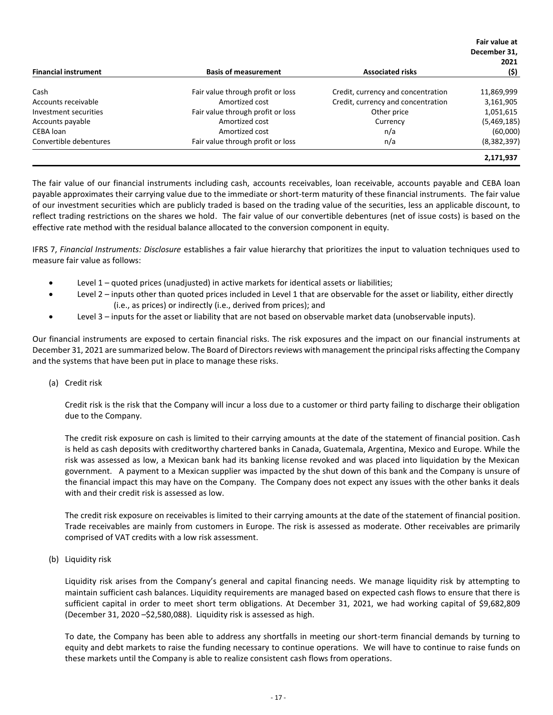|                             |                                   |                                    | Fair value at |
|-----------------------------|-----------------------------------|------------------------------------|---------------|
|                             |                                   |                                    | December 31,  |
|                             |                                   |                                    | 2021          |
| <b>Financial instrument</b> | <b>Basis of measurement</b>       | <b>Associated risks</b>            | (\$)          |
| Cash                        | Fair value through profit or loss | Credit, currency and concentration | 11,869,999    |
| Accounts receivable         | Amortized cost                    | Credit, currency and concentration | 3,161,905     |
| Investment securities       | Fair value through profit or loss | Other price                        | 1,051,615     |
| Accounts payable            | Amortized cost                    | Currency                           | (5,469,185)   |
| CEBA loan                   | Amortized cost                    | n/a                                | (60,000)      |
| Convertible debentures      | Fair value through profit or loss | n/a                                | (8,382,397)   |
|                             |                                   |                                    | 2,171,937     |

The fair value of our financial instruments including cash, accounts receivables, loan receivable, accounts payable and CEBA loan payable approximates their carrying value due to the immediate or short-term maturity of these financial instruments. The fair value of our investment securities which are publicly traded is based on the trading value of the securities, less an applicable discount, to reflect trading restrictions on the shares we hold. The fair value of our convertible debentures (net of issue costs) is based on the effective rate method with the residual balance allocated to the conversion component in equity.

IFRS 7, *Financial Instruments: Disclosure* establishes a fair value hierarchy that prioritizes the input to valuation techniques used to measure fair value as follows:

- Level 1 quoted prices (unadjusted) in active markets for identical assets or liabilities;
- Level 2 inputs other than quoted prices included in Level 1 that are observable for the asset or liability, either directly (i.e., as prices) or indirectly (i.e., derived from prices); and
- Level 3 inputs for the asset or liability that are not based on observable market data (unobservable inputs).

Our financial instruments are exposed to certain financial risks. The risk exposures and the impact on our financial instruments at December 31, 2021 are summarized below. The Board of Directors reviews with management the principal risks affecting the Company and the systems that have been put in place to manage these risks.

(a) Credit risk

Credit risk is the risk that the Company will incur a loss due to a customer or third party failing to discharge their obligation due to the Company.

The credit risk exposure on cash is limited to their carrying amounts at the date of the statement of financial position. Cash is held as cash deposits with creditworthy chartered banks in Canada, Guatemala, Argentina, Mexico and Europe. While the risk was assessed as low, a Mexican bank had its banking license revoked and was placed into liquidation by the Mexican government. A payment to a Mexican supplier was impacted by the shut down of this bank and the Company is unsure of the financial impact this may have on the Company. The Company does not expect any issues with the other banks it deals with and their credit risk is assessed as low.

The credit risk exposure on receivables is limited to their carrying amounts at the date of the statement of financial position. Trade receivables are mainly from customers in Europe. The risk is assessed as moderate. Other receivables are primarily comprised of VAT credits with a low risk assessment.

(b) Liquidity risk

Liquidity risk arises from the Company's general and capital financing needs. We manage liquidity risk by attempting to maintain sufficient cash balances. Liquidity requirements are managed based on expected cash flows to ensure that there is sufficient capital in order to meet short term obligations. At December 31, 2021, we had working capital of \$9,682,809 (December 31, 2020 –\$2,580,088). Liquidity risk is assessed as high.

To date, the Company has been able to address any shortfalls in meeting our short-term financial demands by turning to equity and debt markets to raise the funding necessary to continue operations. We will have to continue to raise funds on these markets until the Company is able to realize consistent cash flows from operations.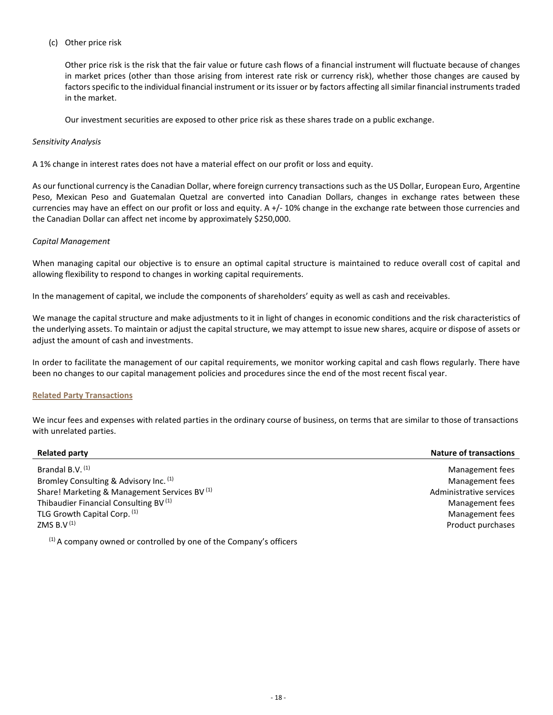## (c) Other price risk

Other price risk is the risk that the fair value or future cash flows of a financial instrument will fluctuate because of changes in market prices (other than those arising from interest rate risk or currency risk), whether those changes are caused by factors specific to the individual financial instrument or its issuer or by factors affecting all similar financial instruments traded in the market.

Our investment securities are exposed to other price risk as these shares trade on a public exchange.

## *Sensitivity Analysis*

A 1% change in interest rates does not have a material effect on our profit or loss and equity.

As our functional currency is the Canadian Dollar, where foreign currency transactions such as the US Dollar, European Euro, Argentine Peso, Mexican Peso and Guatemalan Quetzal are converted into Canadian Dollars, changes in exchange rates between these currencies may have an effect on our profit or loss and equity. A +/- 10% change in the exchange rate between those currencies and the Canadian Dollar can affect net income by approximately \$250,000.

## *Capital Management*

When managing capital our objective is to ensure an optimal capital structure is maintained to reduce overall cost of capital and allowing flexibility to respond to changes in working capital requirements.

In the management of capital, we include the components of shareholders' equity as well as cash and receivables.

We manage the capital structure and make adjustments to it in light of changes in economic conditions and the risk characteristics of the underlying assets. To maintain or adjust the capital structure, we may attempt to issue new shares, acquire or dispose of assets or adjust the amount of cash and investments.

In order to facilitate the management of our capital requirements, we monitor working capital and cash flows regularly. There have been no changes to our capital management policies and procedures since the end of the most recent fiscal year.

## **Related Party Transactions**

We incur fees and expenses with related parties in the ordinary course of business, on terms that are similar to those of transactions with unrelated parties.

| <b>Related party</b>                                               | <b>Nature of transactions</b> |
|--------------------------------------------------------------------|-------------------------------|
| Brandal B.V. <sup>(1)</sup>                                        | Management fees               |
| Bromley Consulting & Advisory Inc. (1)                             | Management fees               |
| Share! Marketing & Management Services BV <sup>(1)</sup>           | Administrative services       |
| Thibaudier Financial Consulting BV <sup>(1)</sup>                  | Management fees               |
| TLG Growth Capital Corp. (1)                                       | Management fees               |
| ZMS B.V $(1)$                                                      | Product purchases             |
| (1) A company owned or controlled by one of the Company's officers |                               |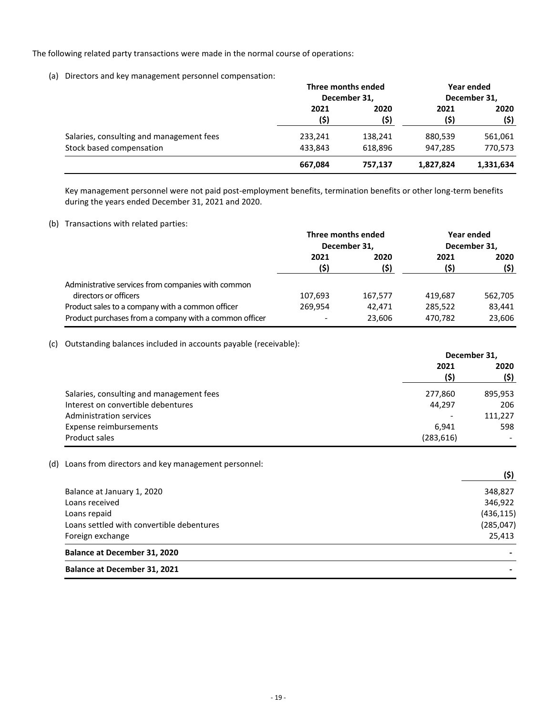The following related party transactions were made in the normal course of operations:

(a) Directors and key management personnel compensation:

|                                          | Three months ended<br>December 31, |         | Year ended<br>December 31, |           |      |
|------------------------------------------|------------------------------------|---------|----------------------------|-----------|------|
|                                          |                                    |         |                            |           |      |
|                                          | 2021                               |         | 2020                       | 2021      | 2020 |
|                                          | (\$)                               | (\$)    | (\$)                       | (\$)      |      |
| Salaries, consulting and management fees | 233,241                            | 138,241 | 880,539                    | 561,061   |      |
| Stock based compensation                 | 433.843                            | 618.896 | 947,285                    | 770,573   |      |
|                                          | 667,084                            | 757.137 | 1,827,824                  | 1,331,634 |      |

Key management personnel were not paid post-employment benefits, termination benefits or other long-term benefits during the years ended December 31, 2021 and 2020.

## (b) Transactions with related parties:

|                                                        | Three months ended<br>December 31, |         | Year ended<br>December 31, |         |
|--------------------------------------------------------|------------------------------------|---------|----------------------------|---------|
|                                                        |                                    |         |                            |         |
|                                                        | 2021                               | 2020    | 2021                       | 2020    |
|                                                        | (\$)                               | (\$)    | (\$)                       | (\$)    |
| Administrative services from companies with common     |                                    |         |                            |         |
| directors or officers                                  | 107,693                            | 167.577 | 419.687                    | 562,705 |
| Product sales to a company with a common officer       | 269.954                            | 42.471  | 285,522                    | 83,441  |
| Product purchases from a company with a common officer | $\overline{\phantom{0}}$           | 23,606  | 470,782                    | 23,606  |

## (c) Outstanding balances included in accounts payable (receivable):

|                                          | December 31,             |                          |
|------------------------------------------|--------------------------|--------------------------|
|                                          | 2021                     |                          |
|                                          | (\$)                     | (\$)                     |
| Salaries, consulting and management fees | 277,860                  | 895,953                  |
| Interest on convertible debentures       | 44.297                   | 206                      |
| Administration services                  | $\overline{\phantom{0}}$ | 111.227                  |
| Expense reimbursements                   | 6.941                    | 598                      |
| Product sales                            | (283, 616)               | $\overline{\phantom{0}}$ |

## (d) Loans from directors and key management personnel:

| <b>Balance at December 31, 2021</b>       |            |
|-------------------------------------------|------------|
| <b>Balance at December 31, 2020</b>       |            |
| Foreign exchange                          | 25,413     |
| Loans settled with convertible debentures | (285, 047) |
| Loans repaid                              | (436, 115) |
| Loans received                            | 346,922    |
| Balance at January 1, 2020                | 348,827    |
|                                           | (\$)       |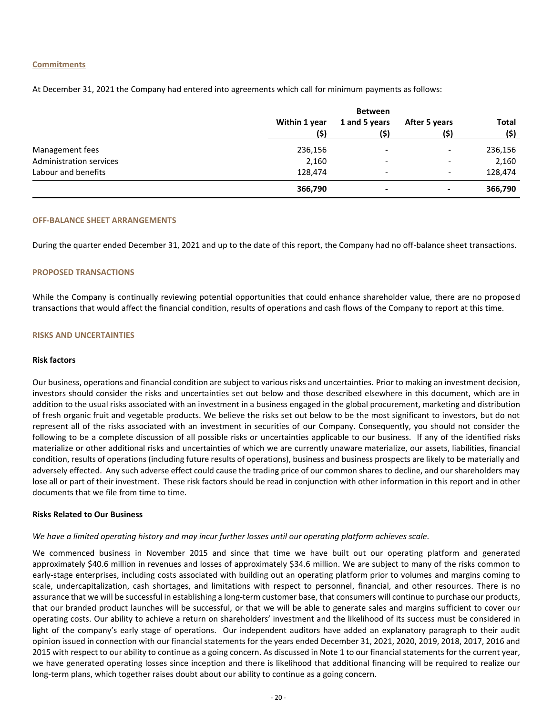#### **Commitments**

At December 31, 2021 the Company had entered into agreements which call for minimum payments as follows:

|                         |                       | <b>Between</b>           |                          | <b>Total</b><br>(\$)<br>236,156 |
|-------------------------|-----------------------|--------------------------|--------------------------|---------------------------------|
|                         | Within 1 year<br>(\$) | 1 and 5 years<br>(\$)    | After 5 years<br>(\$)    |                                 |
| Management fees         | 236,156               | $\overline{\phantom{a}}$ | -                        |                                 |
| Administration services | 2,160                 | $\overline{\phantom{a}}$ |                          | 2,160                           |
| Labour and benefits     | 128,474               | $\overline{\phantom{a}}$ | $\overline{\phantom{0}}$ | 128,474                         |
|                         | 366,790               | $\overline{\phantom{0}}$ | $\,$                     | 366,790                         |

#### **OFF-BALANCE SHEET ARRANGEMENTS**

During the quarter ended December 31, 2021 and up to the date of this report, the Company had no off-balance sheet transactions.

#### **PROPOSED TRANSACTIONS**

While the Company is continually reviewing potential opportunities that could enhance shareholder value, there are no proposed transactions that would affect the financial condition, results of operations and cash flows of the Company to report at this time.

#### **RISKS AND UNCERTAINTIES**

#### **Risk factors**

Our business, operations and financial condition are subject to various risks and uncertainties. Prior to making an investment decision, investors should consider the risks and uncertainties set out below and those described elsewhere in this document, which are in addition to the usual risks associated with an investment in a business engaged in the global procurement, marketing and distribution of fresh organic fruit and vegetable products. We believe the risks set out below to be the most significant to investors, but do not represent all of the risks associated with an investment in securities of our Company. Consequently, you should not consider the following to be a complete discussion of all possible risks or uncertainties applicable to our business. If any of the identified risks materialize or other additional risks and uncertainties of which we are currently unaware materialize, our assets, liabilities, financial condition, results of operations (including future results of operations), business and business prospects are likely to be materially and adversely effected. Any such adverse effect could cause the trading price of our common shares to decline, and our shareholders may lose all or part of their investment. These risk factors should be read in conjunction with other information in this report and in other documents that we file from time to time.

#### **Risks Related to Our Business**

#### *We have a limited operating history and may incur further losses until our operating platform achieves scale.*

We commenced business in November 2015 and since that time we have built out our operating platform and generated approximately \$40.6 million in revenues and losses of approximately \$34.6 million. We are subject to many of the risks common to early-stage enterprises, including costs associated with building out an operating platform prior to volumes and margins coming to scale, undercapitalization, cash shortages, and limitations with respect to personnel, financial, and other resources. There is no assurance that we will be successful in establishing a long-term customer base, that consumers will continue to purchase our products, that our branded product launches will be successful, or that we will be able to generate sales and margins sufficient to cover our operating costs. Our ability to achieve a return on shareholders' investment and the likelihood of its success must be considered in light of the company's early stage of operations. Our independent auditors have added an explanatory paragraph to their audit opinion issued in connection with our financial statements for the years ended December 31, 2021, 2020, 2019, 2018, 2017, 2016 and 2015 with respect to our ability to continue as a going concern. As discussed in Note 1 to our financial statements for the current year, we have generated operating losses since inception and there is likelihood that additional financing will be required to realize our long-term plans, which together raises doubt about our ability to continue as a going concern.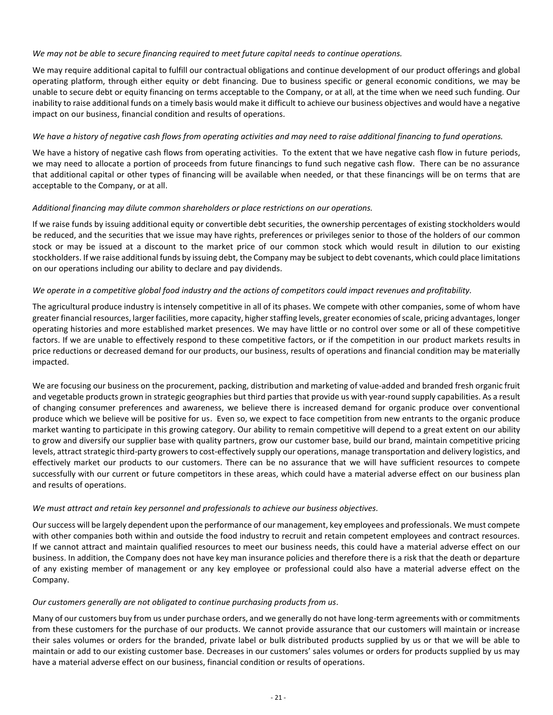## *We may not be able to secure financing required to meet future capital needs to continue operations.*

We may require additional capital to fulfill our contractual obligations and continue development of our product offerings and global operating platform, through either equity or debt financing. Due to business specific or general economic conditions, we may be unable to secure debt or equity financing on terms acceptable to the Company, or at all, at the time when we need such funding. Our inability to raise additional funds on a timely basis would make it difficult to achieve our business objectives and would have a negative impact on our business, financial condition and results of operations.

## *We have a history of negative cash flows from operating activities and may need to raise additional financing to fund operations.*

We have a history of negative cash flows from operating activities. To the extent that we have negative cash flow in future periods, we may need to allocate a portion of proceeds from future financings to fund such negative cash flow. There can be no assurance that additional capital or other types of financing will be available when needed, or that these financings will be on terms that are acceptable to the Company, or at all.

## *Additional financing may dilute common shareholders or place restrictions on our operations.*

If we raise funds by issuing additional equity or convertible debt securities, the ownership percentages of existing stockholders would be reduced, and the securities that we issue may have rights, preferences or privileges senior to those of the holders of our common stock or may be issued at a discount to the market price of our common stock which would result in dilution to our existing stockholders. If we raise additional funds by issuing debt, the Company may be subject to debt covenants, which could place limitations on our operations including our ability to declare and pay dividends.

## *We operate in a competitive global food industry and the actions of competitors could impact revenues and profitability.*

The agricultural produce industry is intensely competitive in all of its phases. We compete with other companies, some of whom have greater financial resources, larger facilities, more capacity, higher staffing levels, greater economies of scale, pricing advantages, longer operating histories and more established market presences. We may have little or no control over some or all of these competitive factors. If we are unable to effectively respond to these competitive factors, or if the competition in our product markets results in price reductions or decreased demand for our products, our business, results of operations and financial condition may be materially impacted.

We are focusing our business on the procurement, packing, distribution and marketing of value-added and branded fresh organic fruit and vegetable products grown in strategic geographies but third parties that provide us with year-round supply capabilities. As a result of changing consumer preferences and awareness, we believe there is increased demand for organic produce over conventional produce which we believe will be positive for us. Even so, we expect to face competition from new entrants to the organic produce market wanting to participate in this growing category. Our ability to remain competitive will depend to a great extent on our ability to grow and diversify our supplier base with quality partners, grow our customer base, build our brand, maintain competitive pricing levels, attract strategic third-party growers to cost-effectively supply our operations, manage transportation and delivery logistics, and effectively market our products to our customers. There can be no assurance that we will have sufficient resources to compete successfully with our current or future competitors in these areas, which could have a material adverse effect on our business plan and results of operations.

## *We must attract and retain key personnel and professionals to achieve our business objectives.*

Our success will be largely dependent upon the performance of our management, key employees and professionals. We must compete with other companies both within and outside the food industry to recruit and retain competent employees and contract resources. If we cannot attract and maintain qualified resources to meet our business needs, this could have a material adverse effect on our business. In addition, the Company does not have key man insurance policies and therefore there is a risk that the death or departure of any existing member of management or any key employee or professional could also have a material adverse effect on the Company.

## *Our customers generally are not obligated to continue purchasing products from us.*

Many of our customers buy from us under purchase orders, and we generally do not have long-term agreements with or commitments from these customers for the purchase of our products. We cannot provide assurance that our customers will maintain or increase their sales volumes or orders for the branded, private label or bulk distributed products supplied by us or that we will be able to maintain or add to our existing customer base. Decreases in our customers' sales volumes or orders for products supplied by us may have a material adverse effect on our business, financial condition or results of operations.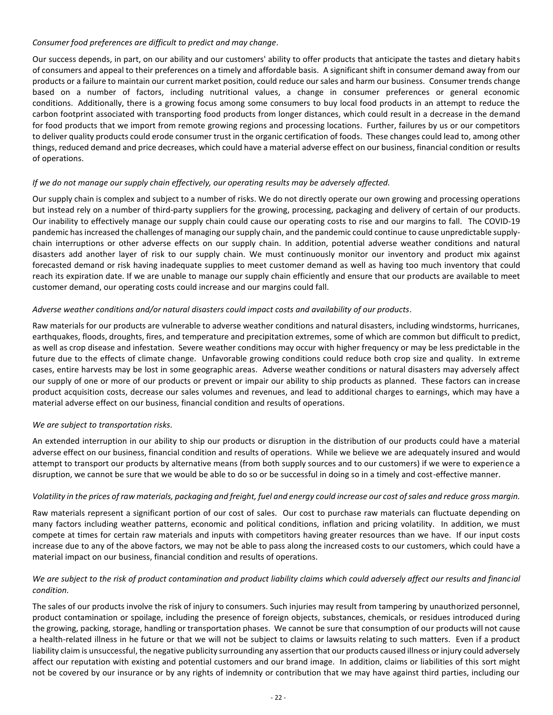## *Consumer food preferences are difficult to predict and may change.*

Our success depends, in part, on our ability and our customers' ability to offer products that anticipate the tastes and dietary habits of consumers and appeal to their preferences on a timely and affordable basis. A significant shift in consumer demand away from our products or a failure to maintain our current market position, could reduce our sales and harm our business. Consumer trends change based on a number of factors, including nutritional values, a change in consumer preferences or general economic conditions. Additionally, there is a growing focus among some consumers to buy local food products in an attempt to reduce the carbon footprint associated with transporting food products from longer distances, which could result in a decrease in the demand for food products that we import from remote growing regions and processing locations. Further, failures by us or our competitors to deliver quality products could erode consumer trust in the organic certification of foods. These changes could lead to, among other things, reduced demand and price decreases, which could have a material adverse effect on our business, financial condition or results of operations.

## *If we do not manage our supply chain effectively, our operating results may be adversely affected.*

Our supply chain is complex and subject to a number of risks. We do not directly operate our own growing and processing operations but instead rely on a number of third-party suppliers for the growing, processing, packaging and delivery of certain of our products. Our inability to effectively manage our supply chain could cause our operating costs to rise and our margins to fall. The COVID-19 pandemic has increased the challenges of managing our supply chain, and the pandemic could continue to cause unpredictable supplychain interruptions or other adverse effects on our supply chain. In addition, potential adverse weather conditions and natural disasters add another layer of risk to our supply chain. We must continuously monitor our inventory and product mix against forecasted demand or risk having inadequate supplies to meet customer demand as well as having too much inventory that could reach its expiration date. If we are unable to manage our supply chain efficiently and ensure that our products are available to meet customer demand, our operating costs could increase and our margins could fall.

## *Adverse weather conditions and/or natural disasters could impact costs and availability of our products.*

Raw materials for our products are vulnerable to adverse weather conditions and natural disasters, including windstorms, hurricanes, earthquakes, floods, droughts, fires, and temperature and precipitation extremes, some of which are common but difficult to predict, as well as crop disease and infestation. Severe weather conditions may occur with higher frequency or may be less predictable in the future due to the effects of climate change. Unfavorable growing conditions could reduce both crop size and quality. In extreme cases, entire harvests may be lost in some geographic areas. Adverse weather conditions or natural disasters may adversely affect our supply of one or more of our products or prevent or impair our ability to ship products as planned. These factors can increase product acquisition costs, decrease our sales volumes and revenues, and lead to additional charges to earnings, which may have a material adverse effect on our business, financial condition and results of operations.

## *We are subject to transportation risks.*

An extended interruption in our ability to ship our products or disruption in the distribution of our products could have a material adverse effect on our business, financial condition and results of operations. While we believe we are adequately insured and would attempt to transport our products by alternative means (from both supply sources and to our customers) if we were to experience a disruption, we cannot be sure that we would be able to do so or be successful in doing so in a timely and cost-effective manner.

## *Volatility in the prices of raw materials, packaging and freight, fuel and energy could increase our cost of sales and reduce gross margin.*

Raw materials represent a significant portion of our cost of sales. Our cost to purchase raw materials can fluctuate depending on many factors including weather patterns, economic and political conditions, inflation and pricing volatility. In addition, we must compete at times for certain raw materials and inputs with competitors having greater resources than we have. If our input costs increase due to any of the above factors, we may not be able to pass along the increased costs to our customers, which could have a material impact on our business, financial condition and results of operations.

## *We are subject to the risk of product contamination and product liability claims which could adversely affect our results and financial condition.*

The sales of our products involve the risk of injury to consumers. Such injuries may result from tampering by unauthorized personnel, product contamination or spoilage, including the presence of foreign objects, substances, chemicals, or residues introduced during the growing, packing, storage, handling or transportation phases. We cannot be sure that consumption of our products will not cause a health-related illness in he future or that we will not be subject to claims or lawsuits relating to such matters. Even if a product liability claim is unsuccessful, the negative publicity surrounding any assertion that our products caused illness or injury could adversely affect our reputation with existing and potential customers and our brand image. In addition, claims or liabilities of this sort might not be covered by our insurance or by any rights of indemnity or contribution that we may have against third parties, including our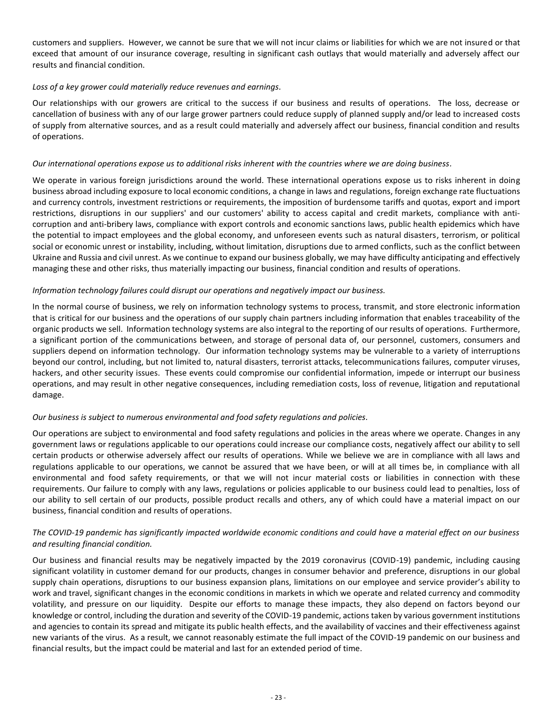customers and suppliers. However, we cannot be sure that we will not incur claims or liabilities for which we are not insured or that exceed that amount of our insurance coverage, resulting in significant cash outlays that would materially and adversely affect our results and financial condition.

## *Loss of a key grower could materially reduce revenues and earnings.*

Our relationships with our growers are critical to the success if our business and results of operations. The loss, decrease or cancellation of business with any of our large grower partners could reduce supply of planned supply and/or lead to increased costs of supply from alternative sources, and as a result could materially and adversely affect our business, financial condition and results of operations.

## *Our international operations expose us to additional risks inherent with the countries where we are doing business.*

We operate in various foreign jurisdictions around the world. These international operations expose us to risks inherent in doing business abroad including exposure to local economic conditions, a change in laws and regulations, foreign exchange rate fluctuations and currency controls, investment restrictions or requirements, the imposition of burdensome tariffs and quotas, export and import restrictions, disruptions in our suppliers' and our customers' ability to access capital and credit markets, compliance with anticorruption and anti-bribery laws, compliance with export controls and economic sanctions laws, public health epidemics which have the potential to impact employees and the global economy, and unforeseen events such as natural disasters, terrorism, or political social or economic unrest or instability, including, without limitation, disruptions due to armed conflicts, such as the conflict between Ukraine and Russia and civil unrest. As we continue to expand our business globally, we may have difficulty anticipating and effectively managing these and other risks, thus materially impacting our business, financial condition and results of operations.

## *Information technology failures could disrupt our operations and negatively impact our business.*

In the normal course of business, we rely on information technology systems to process, transmit, and store electronic information that is critical for our business and the operations of our supply chain partners including information that enables traceability of the organic products we sell. Information technology systems are also integral to the reporting of our results of operations. Furthermore, a significant portion of the communications between, and storage of personal data of, our personnel, customers, consumers and suppliers depend on information technology. Our information technology systems may be vulnerable to a variety of interruptions beyond our control, including, but not limited to, natural disasters, terrorist attacks, telecommunications failures, computer viruses, hackers, and other security issues. These events could compromise our confidential information, impede or interrupt our business operations, and may result in other negative consequences, including remediation costs, loss of revenue, litigation and reputational damage.

## *Our business is subject to numerous environmental and food safety regulations and policies.*

Our operations are subject to environmental and food safety regulations and policies in the areas where we operate. Changes in any government laws or regulations applicable to our operations could increase our compliance costs, negatively affect our ability to sell certain products or otherwise adversely affect our results of operations. While we believe we are in compliance with all laws and regulations applicable to our operations, we cannot be assured that we have been, or will at all times be, in compliance with all environmental and food safety requirements, or that we will not incur material costs or liabilities in connection with these requirements. Our failure to comply with any laws, regulations or policies applicable to our business could lead to penalties, loss of our ability to sell certain of our products, possible product recalls and others, any of which could have a material impact on our business, financial condition and results of operations.

## *The COVID-19 pandemic has significantly impacted worldwide economic conditions and could have a material effect on our business and resulting financial condition.*

Our business and financial results may be negatively impacted by the 2019 coronavirus (COVID-19) pandemic, including causing significant volatility in customer demand for our products, changes in consumer behavior and preference, disruptions in our global supply chain operations, disruptions to our business expansion plans, limitations on our employee and service provider's ability to work and travel, significant changes in the economic conditions in markets in which we operate and related currency and commodity volatility, and pressure on our liquidity. Despite our efforts to manage these impacts, they also depend on factors beyond our knowledge or control, including the duration and severity of the COVID-19 pandemic, actions taken by various government institutions and agencies to contain its spread and mitigate its public health effects, and the availability of vaccines and their effectiveness against new variants of the virus. As a result, we cannot reasonably estimate the full impact of the COVID-19 pandemic on our business and financial results, but the impact could be material and last for an extended period of time.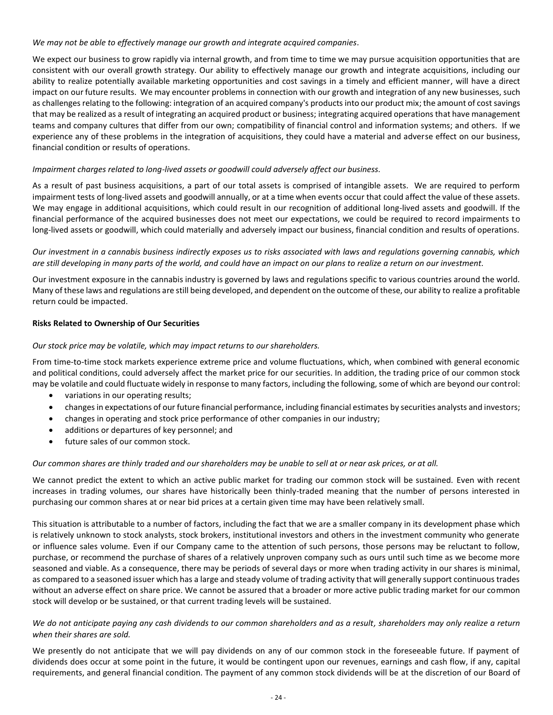## *We may not be able to effectively manage our growth and integrate acquired companies.*

We expect our business to grow rapidly via internal growth, and from time to time we may pursue acquisition opportunities that are consistent with our overall growth strategy. Our ability to effectively manage our growth and integrate acquisitions, including our ability to realize potentially available marketing opportunities and cost savings in a timely and efficient manner, will have a direct impact on our future results. We may encounter problems in connection with our growth and integration of any new businesses, such as challenges relating to the following: integration of an acquired company's products into our product mix; the amount of cost savings that may be realized as a result of integrating an acquired product or business; integrating acquired operations that have management teams and company cultures that differ from our own; compatibility of financial control and information systems; and others. If we experience any of these problems in the integration of acquisitions, they could have a material and adverse effect on our business, financial condition or results of operations.

## *Impairment charges related to long-lived assets or goodwill could adversely affect our business.*

As a result of past business acquisitions, a part of our total assets is comprised of intangible assets. We are required to perform impairment tests of long-lived assets and goodwill annually, or at a time when events occur that could affect the value of these assets. We may engage in additional acquisitions, which could result in our recognition of additional long-lived assets and goodwill. If the financial performance of the acquired businesses does not meet our expectations, we could be required to record impairments to long-lived assets or goodwill, which could materially and adversely impact our business, financial condition and results of operations.

## *Our investment in a cannabis business indirectly exposes us to risks associated with laws and regulations governing cannabis, which are still developing in many parts of the world, and could have an impact on our plans to realize a return on our investment.*

Our investment exposure in the cannabis industry is governed by laws and regulations specific to various countries around the world. Many of these laws and regulations are still being developed, and dependent on the outcome of these, our ability to realize a profitable return could be impacted.

## **Risks Related to Ownership of Our Securities**

## *Our stock price may be volatile, which may impact returns to our shareholders.*

From time-to-time stock markets experience extreme price and volume fluctuations, which, when combined with general economic and political conditions, could adversely affect the market price for our securities. In addition, the trading price of our common stock may be volatile and could fluctuate widely in response to many factors, including the following, some of which are beyond our control:

- variations in our operating results;
- changes in expectations of our future financial performance, including financial estimates by securities analysts and investors;
- changes in operating and stock price performance of other companies in our industry;
- additions or departures of key personnel; and
- future sales of our common stock.

## *Our common shares are thinly traded and our shareholders may be unable to sell at or near ask prices, or at all.*

We cannot predict the extent to which an active public market for trading our common stock will be sustained. Even with recent increases in trading volumes, our shares have historically been thinly-traded meaning that the number of persons interested in purchasing our common shares at or near bid prices at a certain given time may have been relatively small.

This situation is attributable to a number of factors, including the fact that we are a smaller company in its development phase which is relatively unknown to stock analysts, stock brokers, institutional investors and others in the investment community who generate or influence sales volume. Even if our Company came to the attention of such persons, those persons may be reluctant to follow, purchase, or recommend the purchase of shares of a relatively unproven company such as ours until such time as we become more seasoned and viable. As a consequence, there may be periods of several days or more when trading activity in our shares is minimal, as compared to a seasoned issuer which has a large and steady volume of trading activity that will generally support continuous trades without an adverse effect on share price. We cannot be assured that a broader or more active public trading market for our common stock will develop or be sustained, or that current trading levels will be sustained.

## *We do not anticipate paying any cash dividends to our common shareholders and as a result, shareholders may only realize a return when their shares are sold.*

We presently do not anticipate that we will pay dividends on any of our common stock in the foreseeable future. If payment of dividends does occur at some point in the future, it would be contingent upon our revenues, earnings and cash flow, if any, capital requirements, and general financial condition. The payment of any common stock dividends will be at the discretion of our Board of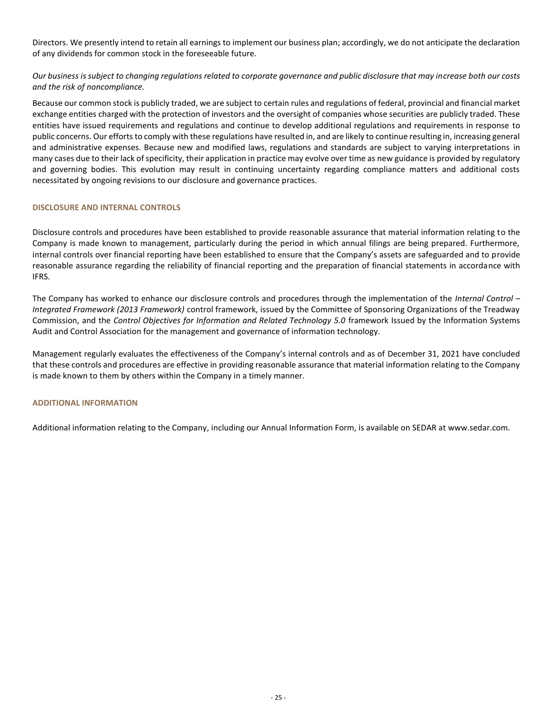Directors. We presently intend to retain all earnings to implement our business plan; accordingly, we do not anticipate the declaration of any dividends for common stock in the foreseeable future.

*Our business is subject to changing regulations related to corporate governance and public disclosure that may increase both our costs and the risk of noncompliance.*

Because our common stock is publicly traded, we are subject to certain rules and regulations of federal, provincial and financial market exchange entities charged with the protection of investors and the oversight of companies whose securities are publicly traded. These entities have issued requirements and regulations and continue to develop additional regulations and requirements in response to public concerns. Our efforts to comply with these regulations have resulted in, and are likely to continue resulting in, increasing general and administrative expenses. Because new and modified laws, regulations and standards are subject to varying interpretations in many cases due to their lack of specificity, their application in practice may evolve over time as new guidance is provided by regulatory and governing bodies. This evolution may result in continuing uncertainty regarding compliance matters and additional costs necessitated by ongoing revisions to our disclosure and governance practices.

## **DISCLOSURE AND INTERNAL CONTROLS**

Disclosure controls and procedures have been established to provide reasonable assurance that material information relating to the Company is made known to management, particularly during the period in which annual filings are being prepared. Furthermore, internal controls over financial reporting have been established to ensure that the Company's assets are safeguarded and to provide reasonable assurance regarding the reliability of financial reporting and the preparation of financial statements in accordance with IFRS.

The Company has worked to enhance our disclosure controls and procedures through the implementation of the *Internal Control – Integrated Framework (2013 Framework)* control framework, issued by the Committee of Sponsoring Organizations of the Treadway Commission, and the *Control Objectives for Information and Related Technology 5.0* framework Issued by the Information Systems Audit and Control Association for the management and governance of information technology.

Management regularly evaluates the effectiveness of the Company's internal controls and as of December 31, 2021 have concluded that these controls and procedures are effective in providing reasonable assurance that material information relating to the Company is made known to them by others within the Company in a timely manner.

## **ADDITIONAL INFORMATION**

Additional information relating to the Company, including our Annual Information Form, is available on SEDAR at [www.sedar.com.](http://www.sedar.com/)